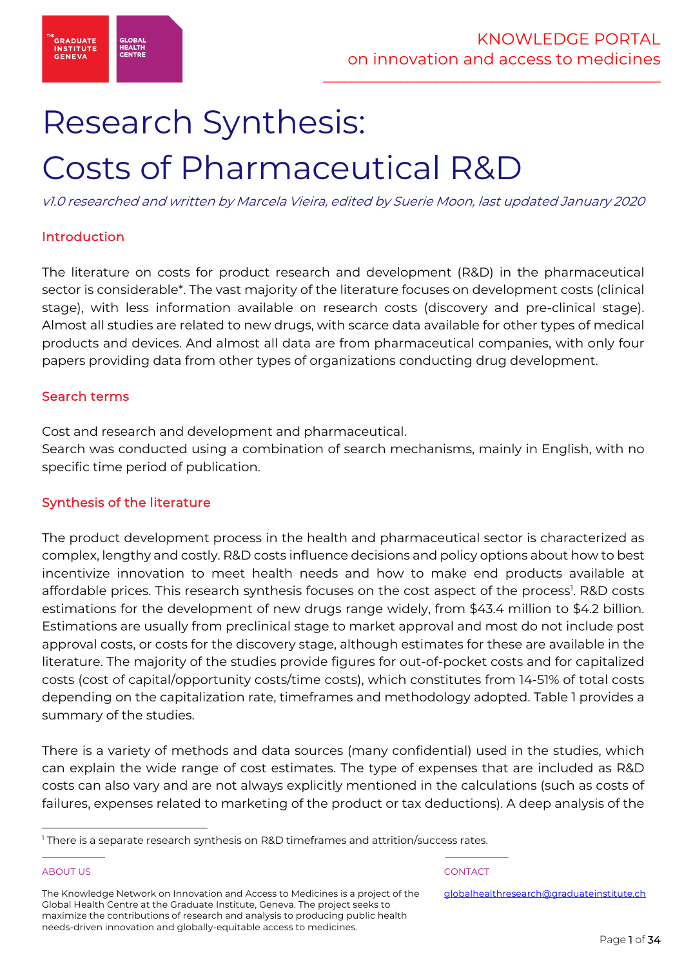

# Research Synthesis: Costs of Pharmaceutical R&D

v1.0 researched and written by Marcela Vieira, edited by Suerie Moon, last updated January 2020

# Introduction

The literature on costs for product research and development (R&D) in the pharmaceutical sector is considerable\*. The vast majority of the literature focuses on development costs (clinical stage), with less information available on research costs (discovery and pre-clinical stage). Almost all studies are related to new drugs, with scarce data available for other types of medical products and devices. And almost all data are from pharmaceutical companies, with only four papers providing data from other types of organizations conducting drug development.

# Search terms

Cost and research and development and pharmaceutical.

Search was conducted using a combination of search mechanisms, mainly in English, with no specific time period of publication.

# Synthesis of the literature

The product development process in the health and pharmaceutical sector is characterized as complex, lengthy and costly. R&D costs influence decisions and policy options about how to best incentivize innovation to meet health needs and how to make end products available at affordable prices. This research synthesis focuses on the cost aspect of the process<sup>1</sup>. R&D costs estimations for the development of new drugs range widely, from \$43.4 million to \$4.2 billion. Estimations are usually from preclinical stage to market approval and most do not include post approval costs, or costs for the discovery stage, although estimates for these are available in the literature. The majority of the studies provide figures for out-of-pocket costs and for capitalized costs (cost of capital/opportunity costs/time costs), which constitutes from 14-51% of total costs depending on the capitalization rate, timeframes and methodology adopted. Table 1 provides a summary of the studies.

There is a variety of methods and data sources (many confidential) used in the studies, which can explain the wide range of cost estimates. The type of expenses that are included as R&D costs can also vary and are not always explicitly mentioned in the calculations (such as costs of failures, expenses related to marketing of the product or tax deductions). A deep analysis of the

\_\_\_\_\_\_\_\_\_\_\_ \_\_\_\_\_\_\_\_\_\_\_

# ABOUT US AND INTERNATIONAL CONTACT CONTACT AND INTERNATIONAL CONTACT.

<sup>&</sup>lt;sup>1</sup> There is a separate research synthesis on R&D timeframes and attrition/success rates.

The Knowledge Network on Innovation and Access to Medicines is a project of the Global Health Centre at the Graduate Institute, Geneva. The project seeks to maximize the contributions of research and analysis to producing public health needs-driven innovation and globally-equitable access to medicines.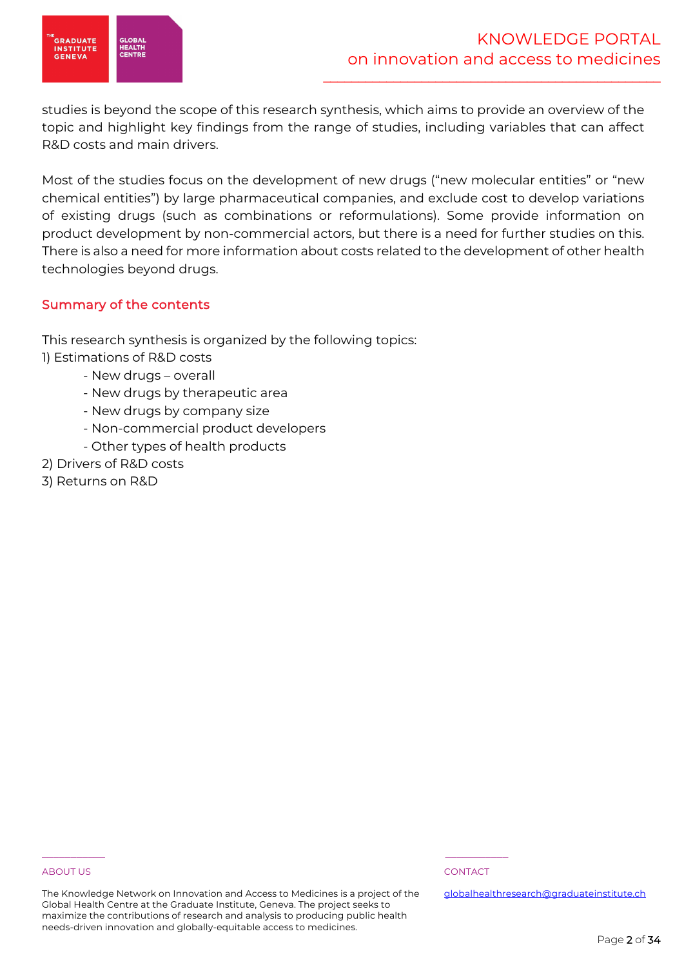

studies is beyond the scope of this research synthesis, which aims to provide an overview of the topic and highlight key findings from the range of studies, including variables that can affect R&D costs and main drivers.

Most of the studies focus on the development of new drugs ("new molecular entities" or "new chemical entities") by large pharmaceutical companies, and exclude cost to develop variations of existing drugs (such as combinations or reformulations). Some provide information on product development by non-commercial actors, but there is a need for further studies on this. There is also a need for more information about costs related to the development of other health technologies beyond drugs.

# Summary of the contents

This research synthesis is organized by the following topics: 1) Estimations of R&D costs

- New drugs overall
- New drugs by therapeutic area
- New drugs by company size
- Non-commercial product developers
- Other types of health products
- 2) Drivers of R&D costs
- 3) Returns on R&D

# ABOUT US AND INTERNATIONAL CONTACT CONTACT AND INTERNATIONAL CONTACT.

The Knowledge Network on Innovation and Access to Medicines is a project of the Global Health Centre at the Graduate Institute, Geneva. The project seeks to maximize the contributions of research and analysis to producing public health needs-driven innovation and globally-equitable access to medicines.

\_\_\_\_\_\_\_\_\_\_\_ \_\_\_\_\_\_\_\_\_\_\_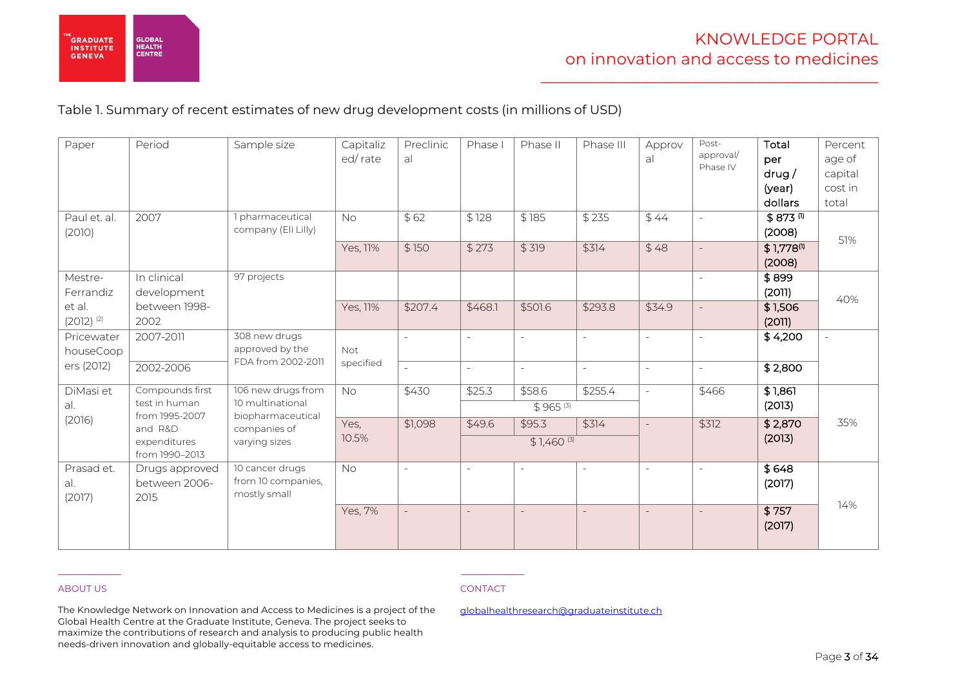

# Table 1. Summary of recent estimates of new drug development costs (in millions of USD)

| Paper                                                     | Period                                                                        | Sample size                                                                                  | Capitaliz<br>ed/rate       | Preclinic<br>al  | Phase I                          | Phase II                                           | Phase III        | Approv<br>al                               | Post-<br>approval/<br>Phase IV | Total<br>per<br>drug/<br>(year)<br>dollars                           | Percent<br>age of<br>capital<br>cost in<br>total |
|-----------------------------------------------------------|-------------------------------------------------------------------------------|----------------------------------------------------------------------------------------------|----------------------------|------------------|----------------------------------|----------------------------------------------------|------------------|--------------------------------------------|--------------------------------|----------------------------------------------------------------------|--------------------------------------------------|
| Paul et. al.<br>(2010)                                    | 2007                                                                          | 1 pharmaceutical<br>company (Eli Lilly)                                                      | <b>No</b><br>Yes, 11%      | \$62<br>\$150    | \$128<br>\$273                   | \$185<br>\$319                                     | \$235<br>\$314   | \$44<br>\$48                               | $\sim$<br>$\sim$               | $$873$ <sup>(1)</sup><br>(2008)<br>$$1,778$ <sup>(1)</sup><br>(2008) | 51%                                              |
| Mestre-<br>Ferrandiz<br>et al.<br>$(2012)$ <sup>(2)</sup> | In clinical<br>development<br>between 1998-<br>2002                           | 97 projects                                                                                  | Yes, 11%                   | \$207.4          | \$468.1                          | \$501.6                                            | \$293.8          | \$34.9                                     | $\sim$                         | \$899<br>(2011)<br>\$1,506<br>(2011)                                 | 40%                                              |
| Pricewater<br>houseCoop<br>ers (2012)                     | 2007-2011<br>2002-2006                                                        | 308 new drugs<br>approved by the<br>FDA from 2002-2011                                       | <b>Not</b><br>specified    | $\sim$           | $\sim$                           | $\overline{a}$<br>$\sim$                           | $\sim$           | $\sim$<br>$\overline{\phantom{a}}$         | $\mathbb{L}$<br>$\overline{a}$ | \$4,200<br>\$2,800                                                   | $\sim$                                           |
| DiMasi et<br>al.<br>(2016)                                | Compounds first<br>test in human<br>from 1995-2007<br>and R&D<br>expenditures | 106 new drugs from<br>10 multinational<br>biopharmaceutical<br>companies of<br>varying sizes | <b>No</b><br>Yes,<br>10.5% | \$430<br>\$1,098 | \$25.3<br>\$49.6                 | \$58.6<br>$$965^{(3)}$<br>\$95.3<br>$$1,460^{(3)}$ | \$255.4<br>\$314 | $\blacksquare$<br>$\overline{\phantom{a}}$ | \$466<br>\$312                 | \$1,861<br>(2013)<br>\$2,870<br>(2013)                               | 35%                                              |
| Prasad et.<br>al.<br>(2017)                               | from 1990-2013<br>Drugs approved<br>between 2006-<br>2015                     | 10 cancer drugs<br>from 10 companies,<br>mostly small                                        | <b>No</b><br>Yes, 7%       | $\sim$           | $\overline{a}$<br>$\overline{a}$ | $\bar{a}$                                          |                  | $\omega$<br>$\equiv$                       | $\sim$<br>$\equiv$             | \$648<br>(2017)<br>\$757<br>(2017)                                   | 14%                                              |

# ABOUT US ARE A RESERVED FOR A RESERVED ON THE RESERVED ON THE RESERVED ON THE RESERVED ON THE RESERVED ON THE RESERVED ON THE RESERVED ON THE RESERVED ON THE RESERVED ON THE RESERVED ON THE RESERVED ON THE RESERVED ON THE

The Knowledge Network on Innovation and Access to Medicines is a project of the Global Health Centre at the Graduate Institute, Geneva. The project seeks to maximize the contributions of research and analysis to producing public health needs-driven innovation and globally-equitable access to medicines.

\_\_\_\_\_\_\_\_\_\_\_ \_\_\_\_\_\_\_\_\_\_\_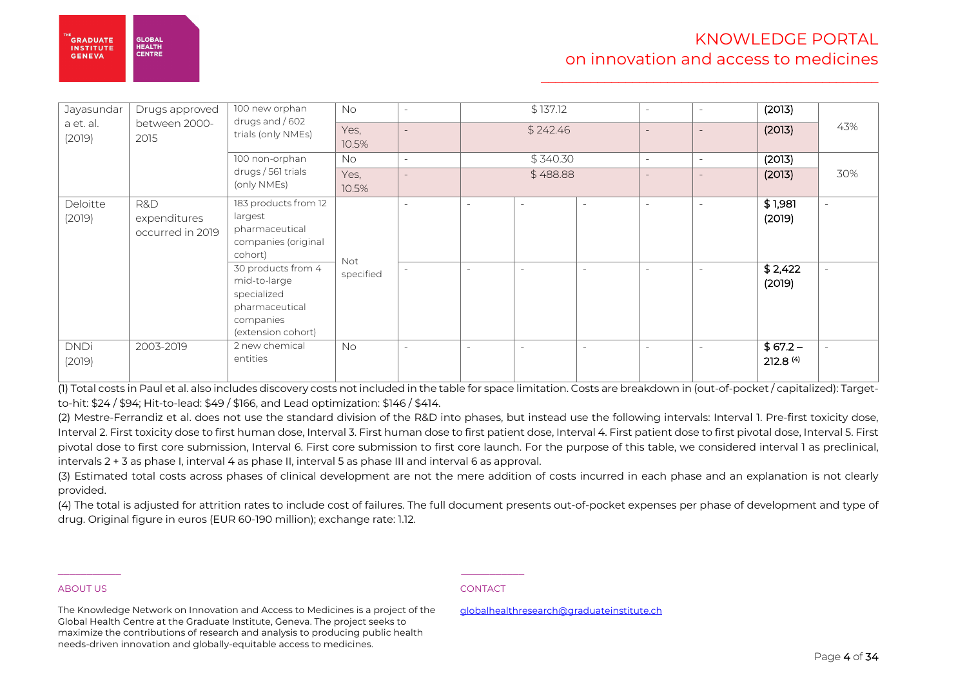| Jayasundar<br>a et. al.<br>(2019) | Drugs approved<br>between 2000-<br>2015 | 100 new orphan<br>drugs and $/602$<br>trials (only NMEs)                                               | No.<br>Yes,<br>10.5%    | $\sim$                   |                          | \$137.12<br>\$242.46 | $\sim$                   | $\overline{\phantom{a}}$<br>$\equiv$ | (2013)<br>(2013)     | 43%    |
|-----------------------------------|-----------------------------------------|--------------------------------------------------------------------------------------------------------|-------------------------|--------------------------|--------------------------|----------------------|--------------------------|--------------------------------------|----------------------|--------|
|                                   |                                         | 100 non-orphan                                                                                         | No.                     | $\overline{\phantom{a}}$ |                          | \$340.30             | $\sim$                   | $\overline{\phantom{a}}$             | (2013)               |        |
|                                   |                                         | drugs / 561 trials<br>(only NMEs)                                                                      | Yes,<br>10.5%           |                          |                          | \$488.88             |                          | $\overline{\phantom{a}}$             | (2013)               | 30%    |
| Deloitte<br>(2019)                | R&D<br>expenditures<br>occurred in 2019 | 183 products from 12<br>largest<br>pharmaceutical<br>companies (original<br>cohort)                    |                         | $\overline{\phantom{a}}$ | $\overline{\phantom{a}}$ | ۰                    | $\overline{\phantom{a}}$ | $\overline{\phantom{a}}$             | \$1,981<br>(2019)    | $\sim$ |
|                                   |                                         | 30 products from 4<br>mid-to-large<br>specialized<br>pharmaceutical<br>companies<br>(extension cohort) | <b>Not</b><br>specified | $\sim$                   | $\overline{\phantom{a}}$ | $\qquad \qquad =$    |                          | $\overline{\phantom{a}}$             | \$2,422<br>(2019)    |        |
| <b>DNDi</b><br>(2019)             | 2003-2019                               | 2 new chemical<br>entities                                                                             | <b>No</b>               | $\sim$                   | $\sim$                   | $\sim$               | $\sim$                   | $\sim$                               | $$67.2-$<br>212.8(4) | $\sim$ |

(1) Total costs in Paul et al. also includes discovery costs not included in the table for space limitation. Costs are breakdown in (out-of-pocket / capitalized): Targetto-hit: \$24 / \$94; Hit-to-lead: \$49 / \$166, and Lead optimization: \$146 / \$414.

(2) Mestre-Ferrandiz et al. does not use the standard division of the R&D into phases, but instead use the following intervals: Interval 1. Pre-first toxicity dose, Interval 2. First toxicity dose to first human dose, Interval 3. First human dose to first patient dose, Interval 4. First patient dose to first pivotal dose, Interval 5. First pivotal dose to first core submission, Interval 6. First core submission to first core launch. For the purpose of this table, we considered interval 1 as preclinical, intervals 2 + 3 as phase I, interval 4 as phase II, interval 5 as phase III and interval 6 as approval.

(3) Estimated total costs across phases of clinical development are not the mere addition of costs incurred in each phase and an explanation is not clearly provided.

(4) The total is adjusted for attrition rates to include cost of failures. The full document presents out-of-pocket expenses per phase of development and type of drug. Original figure in euros (EUR 60-190 million); exchange rate: 1.12.

### ABOUT US AND INTERNATIONAL CONTACT CONTACT AND INTERNATIONAL CONTACT.

l

**GLORAL** HEALTH

CENTRE

**GRADUATE** 

INSTITUTE

**GENEVA** 

The Knowledge Network on Innovation and Access to Medicines is a project of the Global Health Centre at the Graduate Institute, Geneva. The project seeks to maximize the contributions of research and analysis to producing public health needs-driven innovation and globally-equitable access to medicines.

\_\_\_\_\_\_\_\_\_\_\_ \_\_\_\_\_\_\_\_\_\_\_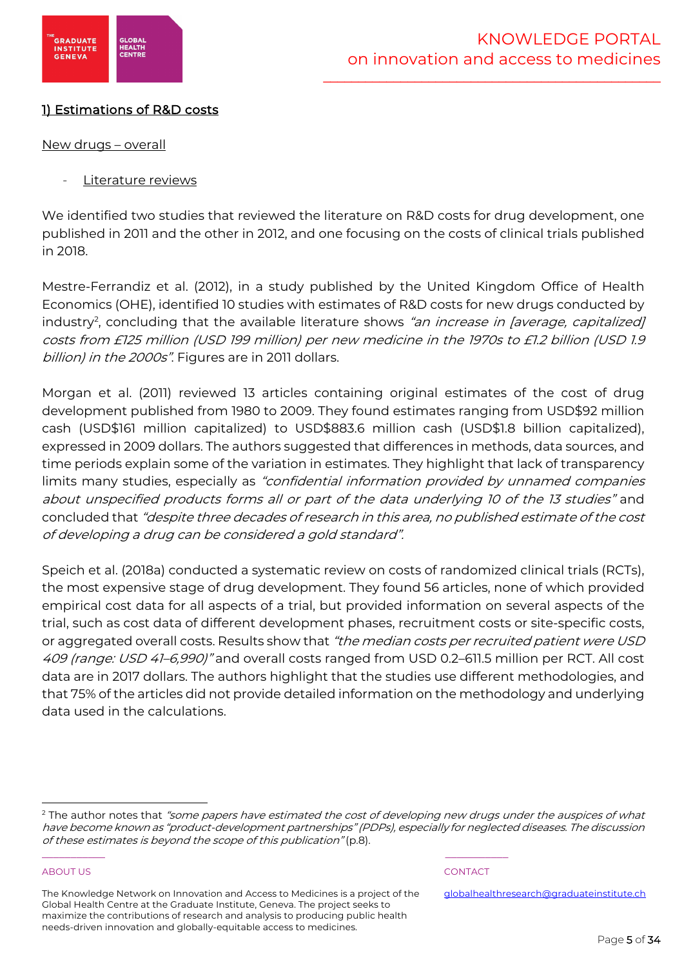

# 1) Estimations of R&D costs

# New drugs – overall

Literature reviews

We identified two studies that reviewed the literature on R&D costs for drug development, one published in 2011 and the other in 2012, and one focusing on the costs of clinical trials published in 2018.

Mestre-Ferrandiz et al. (2012), in a study published by the United Kingdom Office of Health Economics (OHE), identified 10 studies with estimates of R&D costs for new drugs conducted by industry<sup>2</sup>, concluding that the available literature shows *"an increase in [average, capitalized]* costs from £125 million (USD 199 million) per new medicine in the 1970s to £1.2 billion (USD 1.9 billion) in the 2000s". Figures are in 2011 dollars.

Morgan et al. (2011) reviewed 13 articles containing original estimates of the cost of drug development published from 1980 to 2009. They found estimates ranging from USD\$92 million cash (USD\$161 million capitalized) to USD\$883.6 million cash (USD\$1.8 billion capitalized), expressed in 2009 dollars. The authors suggested that differences in methods, data sources, and time periods explain some of the variation in estimates. They highlight that lack of transparency limits many studies, especially as "confidential information provided by unnamed companies about unspecified products forms all or part of the data underlying 10 of the 13 studies" and concluded that "despite three decades of research in this area, no published estimate of the cost of developing a drug can be considered a gold standard".

Speich et al. (2018a) conducted a systematic review on costs of randomized clinical trials (RCTs), the most expensive stage of drug development. They found 56 articles, none of which provided empirical cost data for all aspects of a trial, but provided information on several aspects of the trial, such as cost data of different development phases, recruitment costs or site-specific costs, or aggregated overall costs. Results show that "the median costs per recruited patient were USD 409 (range: USD 41–6,990)" and overall costs ranged from USD 0.2–611.5 million per RCT. All cost data are in 2017 dollars. The authors highlight that the studies use different methodologies, and that 75% of the articles did not provide detailed information on the methodology and underlying data used in the calculations.

# ABOUT US AND INTERNATIONAL CONTACT CONTACT AND INTERNATIONAL CONTACT.

\_\_\_\_\_\_\_\_\_\_\_ \_\_\_\_\_\_\_\_\_\_\_

<sup>&</sup>lt;sup>2</sup> The author notes that "some papers have estimated the cost of developing new drugs under the auspices of what have become known as "product-development partnerships" (PDPs), especially for neglected diseases. The discussion of these estimates is beyond the scope of this publication" (p.8).

The Knowledge Network on Innovation and Access to Medicines is a project of the Global Health Centre at the Graduate Institute, Geneva. The project seeks to maximize the contributions of research and analysis to producing public health needs-driven innovation and globally-equitable access to medicines.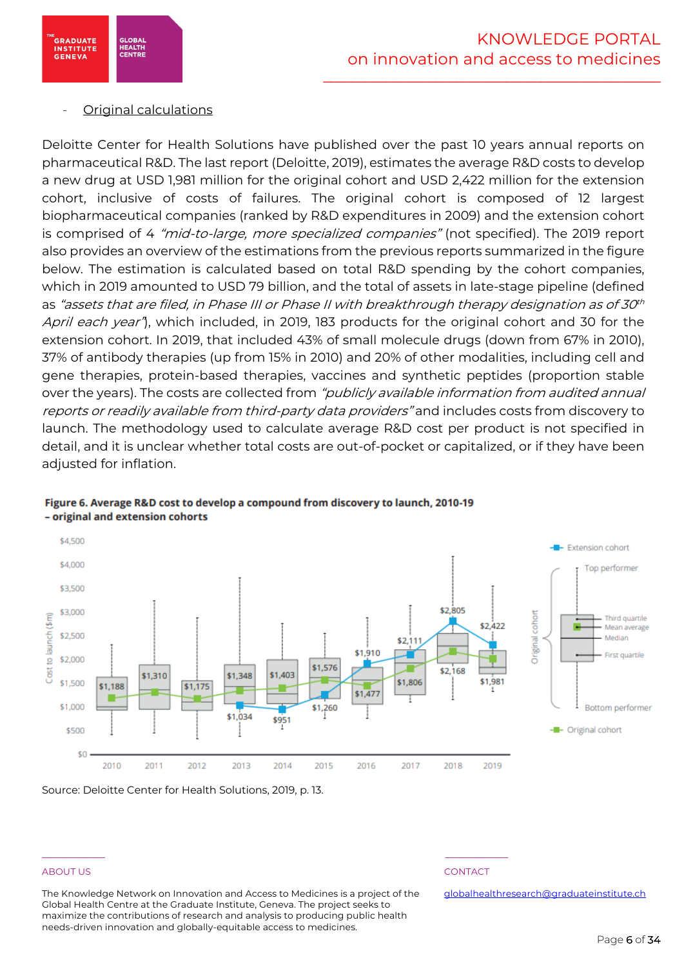

# - Original calculations

Deloitte Center for Health Solutions have published over the past 10 years annual reports on pharmaceutical R&D. The last report (Deloitte, 2019), estimates the average R&D costs to develop a new drug at USD 1,981 million for the original cohort and USD 2,422 million for the extension cohort, inclusive of costs of failures. The original cohort is composed of 12 largest biopharmaceutical companies (ranked by R&D expenditures in 2009) and the extension cohort is comprised of 4 "mid-to-large, more specialized companies" (not specified). The 2019 report also provides an overview of the estimations from the previous reports summarized in the figure below. The estimation is calculated based on total R&D spending by the cohort companies, which in 2019 amounted to USD 79 billion, and the total of assets in late-stage pipeline (defined as "assets that are filed, in Phase III or Phase II with breakthrough therapy designation as of 30<sup>th</sup> April each year<sup>n</sup>, which included, in 2019, 183 products for the original cohort and 30 for the extension cohort. In 2019, that included 43% of small molecule drugs (down from 67% in 2010), 37% of antibody therapies (up from 15% in 2010) and 20% of other modalities, including cell and gene therapies, protein-based therapies, vaccines and synthetic peptides (proportion stable over the years). The costs are collected from "publicly available information from audited annual reports or readily available from third-party data providers" and includes costs from discovery to launch. The methodology used to calculate average R&D cost per product is not specified in detail, and it is unclear whether total costs are out-of-pocket or capitalized, or if they have been adjusted for inflation.



# Figure 6. Average R&D cost to develop a compound from discovery to launch, 2010-19 - original and extension cohorts

Source: Deloitte Center for Health Solutions, 2019, p. 13.

# ABOUT US AND INTERNATIONAL CONTACT CONTACT AND INTERNATIONAL CONTACT.

The Knowledge Network on Innovation and Access to Medicines is a project of the Global Health Centre at the Graduate Institute, Geneva. The project seeks to maximize the contributions of research and analysis to producing public health needs-driven innovation and globally-equitable access to medicines.

\_\_\_\_\_\_\_\_\_\_\_ \_\_\_\_\_\_\_\_\_\_\_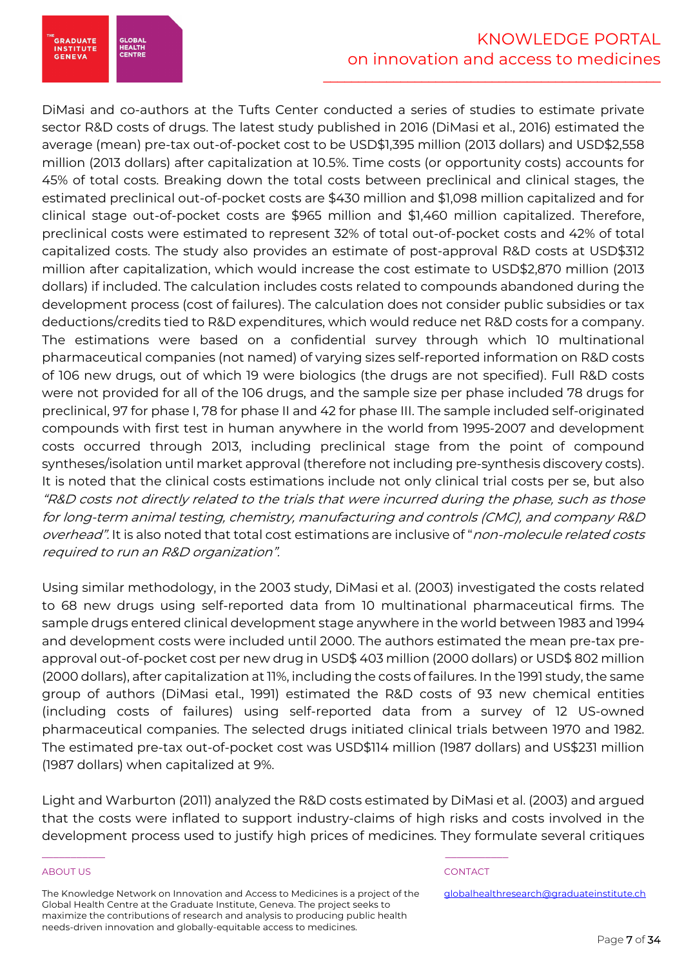

DiMasi and co-authors at the Tufts Center conducted a series of studies to estimate private sector R&D costs of drugs. The latest study published in 2016 (DiMasi et al., 2016) estimated the average (mean) pre-tax out-of-pocket cost to be USD\$1,395 million (2013 dollars) and USD\$2,558 million (2013 dollars) after capitalization at 10.5%. Time costs (or opportunity costs) accounts for 45% of total costs. Breaking down the total costs between preclinical and clinical stages, the estimated preclinical out-of-pocket costs are \$430 million and \$1,098 million capitalized and for clinical stage out-of-pocket costs are \$965 million and \$1,460 million capitalized. Therefore, preclinical costs were estimated to represent 32% of total out-of-pocket costs and 42% of total capitalized costs. The study also provides an estimate of post-approval R&D costs at USD\$312 million after capitalization, which would increase the cost estimate to USD\$2,870 million (2013 dollars) if included. The calculation includes costs related to compounds abandoned during the development process (cost of failures). The calculation does not consider public subsidies or tax deductions/credits tied to R&D expenditures, which would reduce net R&D costs for a company. The estimations were based on a confidential survey through which 10 multinational pharmaceutical companies (not named) of varying sizes self-reported information on R&D costs of 106 new drugs, out of which 19 were biologics (the drugs are not specified). Full R&D costs were not provided for all of the 106 drugs, and the sample size per phase included 78 drugs for preclinical, 97 for phase I, 78 for phase II and 42 for phase III. The sample included self-originated compounds with first test in human anywhere in the world from 1995-2007 and development costs occurred through 2013, including preclinical stage from the point of compound syntheses/isolation until market approval (therefore not including pre-synthesis discovery costs). It is noted that the clinical costs estimations include not only clinical trial costs per se, but also "R&D costs not directly related to the trials that were incurred during the phase, such as those for long-term animal testing, chemistry, manufacturing and controls (CMC), and company R&D overhead". It is also noted that total cost estimations are inclusive of "non-molecule related costs required to run an R&D organization".

Using similar methodology, in the 2003 study, DiMasi et al. (2003) investigated the costs related to 68 new drugs using self-reported data from 10 multinational pharmaceutical firms. The sample drugs entered clinical development stage anywhere in the world between 1983 and 1994 and development costs were included until 2000. The authors estimated the mean pre-tax preapproval out-of-pocket cost per new drug in USD\$ 403 million (2000 dollars) or USD\$ 802 million (2000 dollars), after capitalization at 11%, including the costs of failures. In the 1991 study, the same group of authors (DiMasi etal., 1991) estimated the R&D costs of 93 new chemical entities (including costs of failures) using self-reported data from a survey of 12 US-owned pharmaceutical companies. The selected drugs initiated clinical trials between 1970 and 1982. The estimated pre-tax out-of-pocket cost was USD\$114 million (1987 dollars) and US\$231 million (1987 dollars) when capitalized at 9%.

Light and Warburton (2011) analyzed the R&D costs estimated by DiMasi et al. (2003) and argued that the costs were inflated to support industry-claims of high risks and costs involved in the development process used to justify high prices of medicines. They formulate several critiques

# ABOUT US AND INTERNATIONAL CONTACT CONTACT AND INTERNATIONAL CONTACT.

The Knowledge Network on Innovation and Access to Medicines is a project of the Global Health Centre at the Graduate Institute, Geneva. The project seeks to maximize the contributions of research and analysis to producing public health needs-driven innovation and globally-equitable access to medicines.

\_\_\_\_\_\_\_\_\_\_\_ \_\_\_\_\_\_\_\_\_\_\_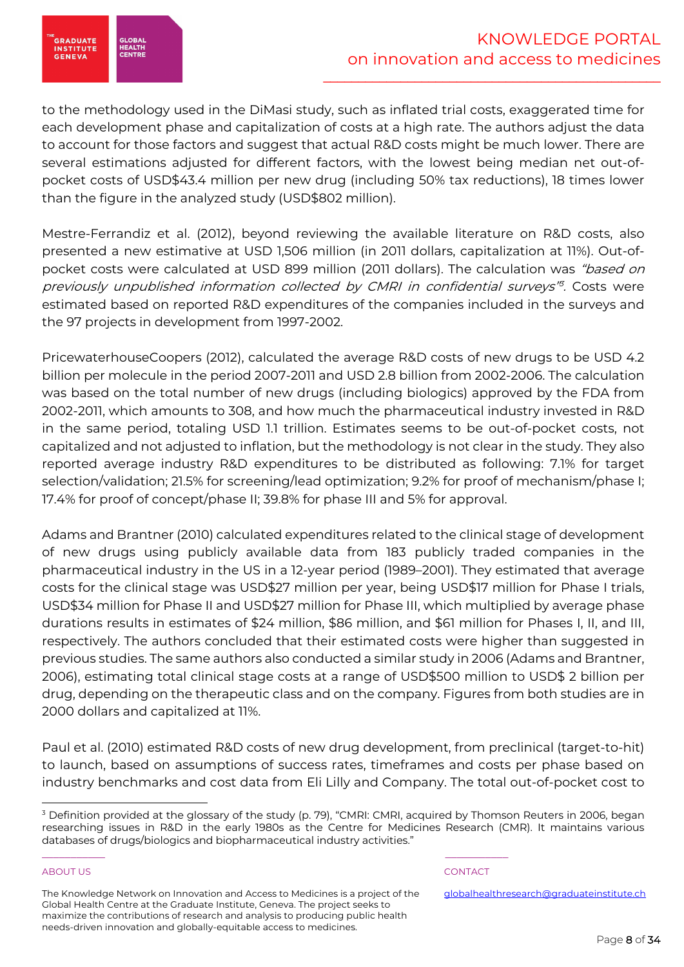

to the methodology used in the DiMasi study, such as inflated trial costs, exaggerated time for each development phase and capitalization of costs at a high rate. The authors adjust the data to account for those factors and suggest that actual R&D costs might be much lower. There are several estimations adjusted for different factors, with the lowest being median net out-ofpocket costs of USD\$43.4 million per new drug (including 50% tax reductions), 18 times lower than the figure in the analyzed study (USD\$802 million).

Mestre-Ferrandiz et al. (2012), beyond reviewing the available literature on R&D costs, also presented a new estimative at USD 1,506 million (in 2011 dollars, capitalization at 11%). Out-ofpocket costs were calculated at USD 899 million (2011 dollars). The calculation was "based on previously unpublished information collected by CMRI in confidential surveys<sup>18</sup>. Costs were estimated based on reported R&D expenditures of the companies included in the surveys and the 97 projects in development from 1997-2002.

PricewaterhouseCoopers (2012), calculated the average R&D costs of new drugs to be USD 4.2 billion per molecule in the period 2007-2011 and USD 2.8 billion from 2002-2006. The calculation was based on the total number of new drugs (including biologics) approved by the FDA from 2002-2011, which amounts to 308, and how much the pharmaceutical industry invested in R&D in the same period, totaling USD 1.1 trillion. Estimates seems to be out-of-pocket costs, not capitalized and not adjusted to inflation, but the methodology is not clear in the study. They also reported average industry R&D expenditures to be distributed as following: 7.1% for target selection/validation; 21.5% for screening/lead optimization; 9.2% for proof of mechanism/phase I; 17.4% for proof of concept/phase II; 39.8% for phase III and 5% for approval.

Adams and Brantner (2010) calculated expenditures related to the clinical stage of development of new drugs using publicly available data from 183 publicly traded companies in the pharmaceutical industry in the US in a 12-year period (1989–2001). They estimated that average costs for the clinical stage was USD\$27 million per year, being USD\$17 million for Phase I trials, USD\$34 million for Phase II and USD\$27 million for Phase III, which multiplied by average phase durations results in estimates of \$24 million, \$86 million, and \$61 million for Phases I, II, and III, respectively. The authors concluded that their estimated costs were higher than suggested in previous studies. The same authors also conducted a similar study in 2006 (Adams and Brantner, 2006), estimating total clinical stage costs at a range of USD\$500 million to USD\$ 2 billion per drug, depending on the therapeutic class and on the company. Figures from both studies are in 2000 dollars and capitalized at 11%.

Paul et al. (2010) estimated R&D costs of new drug development, from preclinical (target-to-hit) to launch, based on assumptions of success rates, timeframes and costs per phase based on industry benchmarks and cost data from Eli Lilly and Company. The total out-of-pocket cost to

# ABOUT US AND INTERNATIONAL CONTACT CONTACT AND INTERNATIONAL CONTACT.

.<br>GRADUATE<br>INSTITUTE

**GENEVA** 

**GLOBA HEALTH**<br>CENTRI

\_\_\_\_\_\_\_\_\_\_\_ \_\_\_\_\_\_\_\_\_\_\_

<sup>&</sup>lt;sup>3</sup> Definition provided at the glossary of the study (p. 79), "CMRI: CMRI, acquired by Thomson Reuters in 2006, began researching issues in R&D in the early 1980s as the Centre for Medicines Research (CMR). It maintains various databases of drugs/biologics and biopharmaceutical industry activities."

The Knowledge Network on Innovation and Access to Medicines is a project of the Global Health Centre at the Graduate Institute, Geneva. The project seeks to maximize the contributions of research and analysis to producing public health needs-driven innovation and globally-equitable access to medicines.

globalhealthresearch@graduateinstitute.ch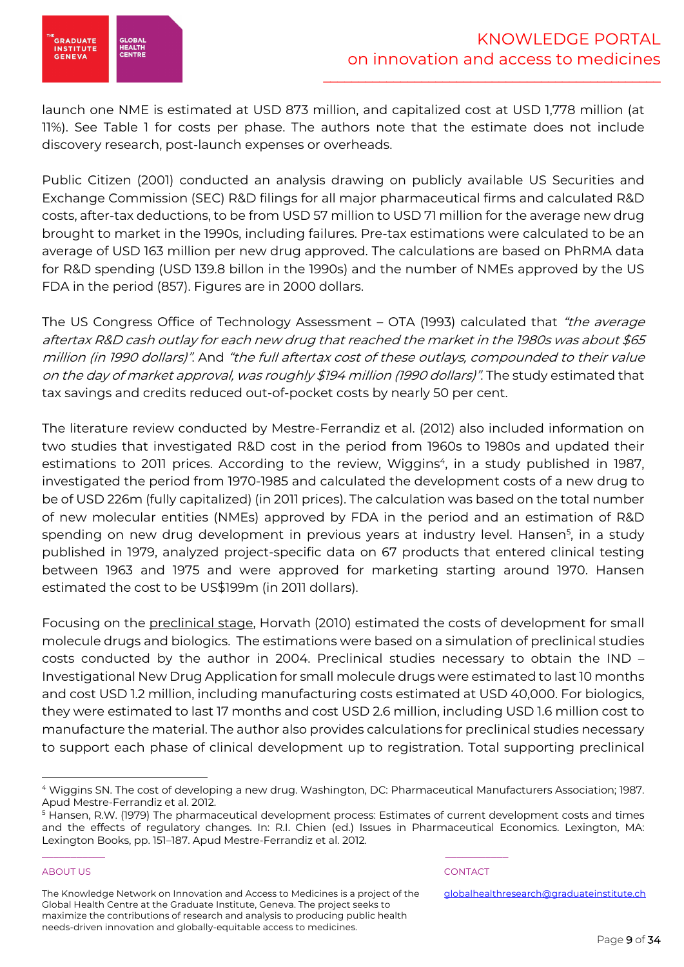

launch one NME is estimated at USD 873 million, and capitalized cost at USD 1,778 million (at 11%). See Table 1 for costs per phase. The authors note that the estimate does not include discovery research, post-launch expenses or overheads.

Public Citizen (2001) conducted an analysis drawing on publicly available US Securities and Exchange Commission (SEC) R&D filings for all major pharmaceutical firms and calculated R&D costs, after-tax deductions, to be from USD 57 million to USD 71 million for the average new drug brought to market in the 1990s, including failures. Pre-tax estimations were calculated to be an average of USD 163 million per new drug approved. The calculations are based on PhRMA data for R&D spending (USD 139.8 billon in the 1990s) and the number of NMEs approved by the US FDA in the period (857). Figures are in 2000 dollars.

The US Congress Office of Technology Assessment – OTA (1993) calculated that *"the average* aftertax R&D cash outlay for each new drug that reached the market in the 1980s was about \$65 million (in 1990 dollars)". And "the full aftertax cost of these outlays, compounded to their value on the day of market approval, was roughly \$194 million (1990 dollars)". The study estimated that tax savings and credits reduced out-of-pocket costs by nearly 50 per cent.

The literature review conducted by Mestre-Ferrandiz et al. (2012) also included information on two studies that investigated R&D cost in the period from 1960s to 1980s and updated their estimations to 2011 prices. According to the review, Wiggins<sup>4</sup>, in a study published in 1987, investigated the period from 1970-1985 and calculated the development costs of a new drug to be of USD 226m (fully capitalized) (in 2011 prices). The calculation was based on the total number of new molecular entities (NMEs) approved by FDA in the period and an estimation of R&D spending on new drug development in previous years at industry level. Hansen<sup>5</sup>, in a study published in 1979, analyzed project-specific data on 67 products that entered clinical testing between 1963 and 1975 and were approved for marketing starting around 1970. Hansen estimated the cost to be US\$199m (in 2011 dollars).

Focusing on the preclinical stage, Horvath (2010) estimated the costs of development for small molecule drugs and biologics. The estimations were based on a simulation of preclinical studies costs conducted by the author in 2004. Preclinical studies necessary to obtain the IND – Investigational New Drug Application for small molecule drugs were estimated to last 10 months and cost USD 1.2 million, including manufacturing costs estimated at USD 40,000. For biologics, they were estimated to last 17 months and cost USD 2.6 million, including USD 1.6 million cost to manufacture the material. The author also provides calculations for preclinical studies necessary to support each phase of clinical development up to registration. Total supporting preclinical

# ABOUT US AND INTERNATIONAL CONTACT CONTACT AND INTERNATIONAL CONTACT.

The Knowledge Network on Innovation and Access to Medicines is a project of the Global Health Centre at the Graduate Institute, Geneva. The project seeks to maximize the contributions of research and analysis to producing public health needs-driven innovation and globally-equitable access to medicines.

\_\_\_\_\_\_\_\_\_\_\_ \_\_\_\_\_\_\_\_\_\_\_

<sup>4</sup> Wiggins SN. The cost of developing a new drug. Washington, DC: Pharmaceutical Manufacturers Association; 1987. Apud Mestre-Ferrandiz et al. 2012.

<sup>5</sup> Hansen, R.W. (1979) The pharmaceutical development process: Estimates of current development costs and times and the effects of regulatory changes. In: R.I. Chien (ed.) Issues in Pharmaceutical Economics. Lexington, MA: Lexington Books, pp. 151–187. Apud Mestre-Ferrandiz et al. 2012.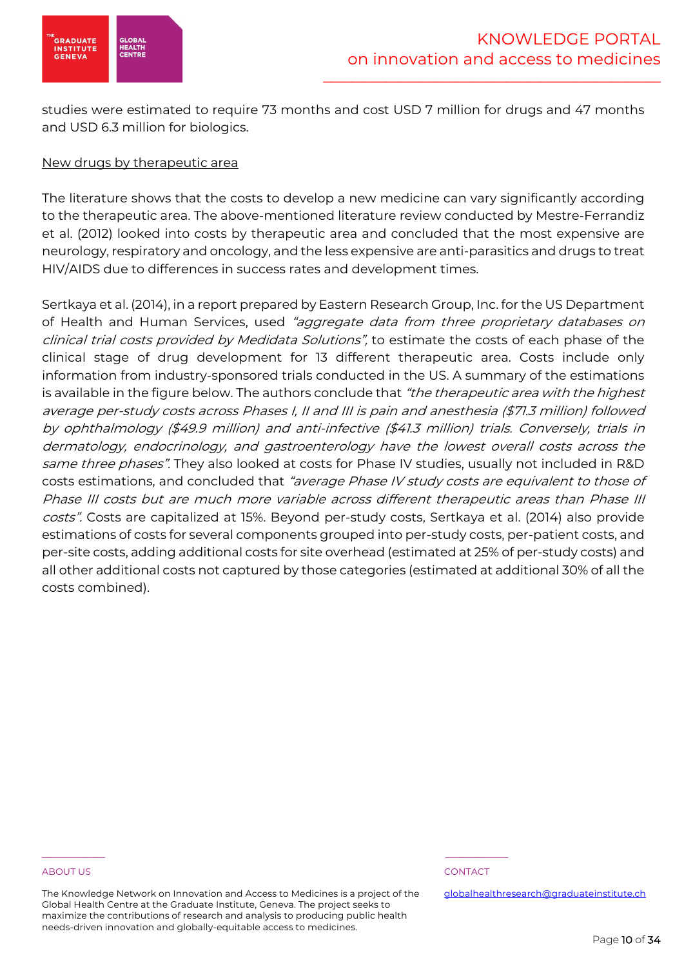

studies were estimated to require 73 months and cost USD 7 million for drugs and 47 months and USD 6.3 million for biologics.

# New drugs by therapeutic area

The literature shows that the costs to develop a new medicine can vary significantly according to the therapeutic area. The above-mentioned literature review conducted by Mestre-Ferrandiz et al. (2012) looked into costs by therapeutic area and concluded that the most expensive are neurology, respiratory and oncology, and the less expensive are anti-parasitics and drugs to treat HIV/AIDS due to differences in success rates and development times.

Sertkaya et al. (2014), in a report prepared by Eastern Research Group, Inc. for the US Department of Health and Human Services, used "aggregate data from three proprietary databases on clinical trial costs provided by Medidata Solutions", to estimate the costs of each phase of the clinical stage of drug development for 13 different therapeutic area. Costs include only information from industry-sponsored trials conducted in the US. A summary of the estimations is available in the figure below. The authors conclude that "the therapeutic area with the highest average per-study costs across Phases I, II and III is pain and anesthesia (\$71.3 million) followed by ophthalmology (\$49.9 million) and anti-infective (\$41.3 million) trials. Conversely, trials in dermatology, endocrinology, and gastroenterology have the lowest overall costs across the same three phases". They also looked at costs for Phase IV studies, usually not included in R&D costs estimations, and concluded that "average Phase IV study costs are equivalent to those of Phase III costs but are much more variable across different therapeutic areas than Phase III costs". Costs are capitalized at 15%. Beyond per-study costs, Sertkaya et al. (2014) also provide estimations of costs for several components grouped into per-study costs, per-patient costs, and per-site costs, adding additional costs for site overhead (estimated at 25% of per-study costs) and all other additional costs not captured by those categories (estimated at additional 30% of all the costs combined).

### ABOUT US AND INTERNATIONAL CONTACT CONTACT AND INTERNATIONAL CONTACT.

The Knowledge Network on Innovation and Access to Medicines is a project of the Global Health Centre at the Graduate Institute, Geneva. The project seeks to maximize the contributions of research and analysis to producing public health needs-driven innovation and globally-equitable access to medicines.

\_\_\_\_\_\_\_\_\_\_\_ \_\_\_\_\_\_\_\_\_\_\_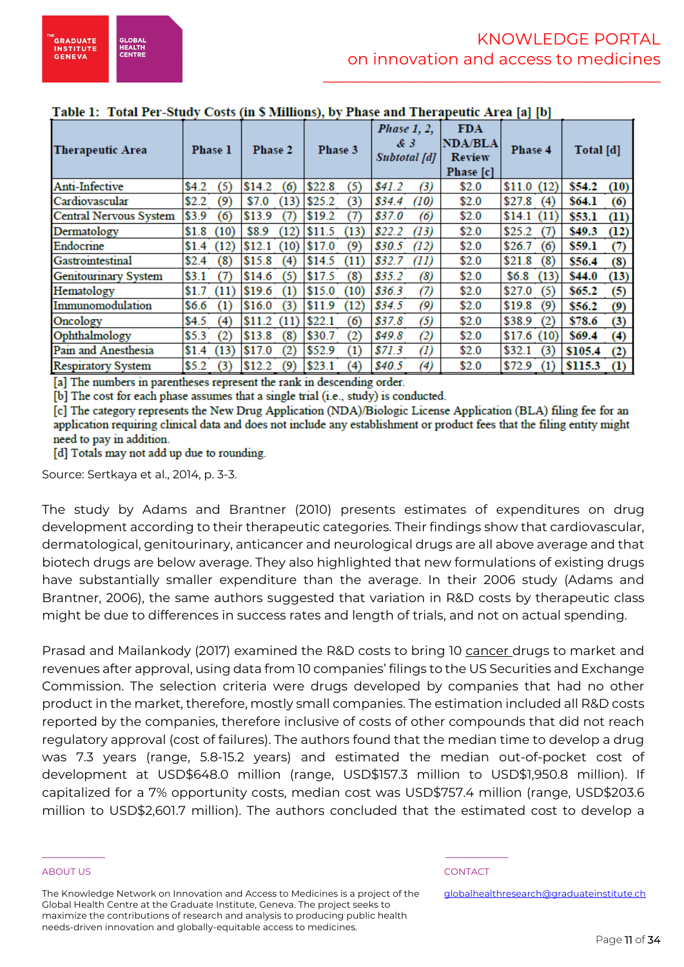| Table 1: "Total Per-Study Costs (in § Millions), by Phase and Therapeutic Area [a] [b] |                              |                |                |                                    |                                                            |                 |                         |
|----------------------------------------------------------------------------------------|------------------------------|----------------|----------------|------------------------------------|------------------------------------------------------------|-----------------|-------------------------|
| <b>Therapeutic Area</b>                                                                | Phase 1                      | Phase 2        | Phase 3        | Phase 1, 2,<br>& 3<br>Subtotal [d] | <b>FDA</b><br><b>NDA/BLA</b><br><b>Review</b><br>Phase [c] | Phase 4         | Total [d]               |
| Anti-Infective                                                                         | (5)<br>\$4.2                 | \$14.2<br>(6)  | (5)<br>\$22.8  | \$41.2\$<br>$\left( 3\right)$      | \$2.0                                                      | (12)<br>\$11.0  | \$54.2<br>(10)          |
| Cardiovascular                                                                         | \$2.2<br>(9)                 | \$7.0<br>(13)  | (3)<br>\$25.2  | \$34.4<br>(10)                     | \$2.0                                                      | \$27.8<br>(4)   | \$64.1<br>(6)           |
| Central Nervous System                                                                 | \$3.9<br>$\epsilon$          | \$13.9<br>(7   | \$19.2<br>(7)  | \$37.0<br>(6)                      | \$2.0                                                      | \$14.1<br>(11)  | \$53.1<br>(11)          |
| Dermatology                                                                            | \$1.8<br>(10)                | \$8.9<br>(12)  | (13)<br>\$11.5 | \$22.2<br>(13)                     | \$2.0                                                      | \$25.2<br>(7)   | \$49.3<br>(12)          |
| Endocrine                                                                              | (12)<br>\$1.4                | \$12.1<br>(10) | \$17.0<br>(9)  | \$30.5<br>(12)                     | \$2.0                                                      | \$26.7<br>(6)   | \$59.1<br>$\sigma$      |
| Gastrointestinal                                                                       | \$2.4<br>$\left( 8\right)$   | \$15.8<br>(4)  | \$14.5<br>(11) | \$32.7<br>(H)                      | \$2.0                                                      | \$21.8<br>(8)   | \$56.4<br>(8)           |
| <b>Genitourinary System</b>                                                            | \$3.1<br>ΊΤ                  | \$14.6<br>(5)  | \$17.5<br>(8)  | \$35.2<br>(8)                      | \$2.0                                                      | \$6.8\$<br>(13) | \$44.0<br>(13)          |
| Hematology                                                                             | \$1.7<br>(11)                | \$19.6<br>(1)  | \$15.0<br>(10) | \$36.3<br>(7)                      | \$2.0                                                      | \$27.0<br>(5)   | \$65.2<br>(5)           |
| Immunomodulation                                                                       | \$6.6<br>$\scriptstyle{(1)}$ | \$16.0<br>(3)  | \$11.9<br>(12) | (9)<br>\$34.5                      | \$2.0                                                      | \$19.8<br>(9)   | \$56.2<br>(9)           |
| Oncology                                                                               | $\left( 4\right)$<br>\$4.5   | \$11.2<br>(11) | \$22.1<br>(6)  | (5)<br>\$37.8                      | \$2.0                                                      | \$38.9<br>(2)   | \$78.6<br>(3)           |
| Ophthalmology                                                                          | (2)<br>\$5.3                 | \$13.8<br>(8)  | (2)<br>\$30.7  | \$49.8<br>$\left( 2\right)$        | \$2.0                                                      | \$17.6(10)      | \$69.4<br>(4)           |
| Pain and Anesthesia                                                                    | (13)<br>\$1.4                | \$17.0<br>(2)  | \$52.9<br>(1)  | \$71.3<br>$\left( l\right)$        | \$2.0                                                      | \$32.1<br>(3)   | \$105.4<br>(2)          |
| <b>Respiratory System</b>                                                              | \$5.2<br>3)                  | \$12.2<br>(9)  | \$23.1<br>(4)  | \$40.5<br>$\left(4\right)$         | \$2.0                                                      | \$72.9<br>(1)   | \$115.3<br>$\rm _{(1)}$ |

[a] The numbers in parentheses represent the rank in descending order.

[b] The cost for each phase assumes that a single trial (i.e., study) is conducted.

[c] The category represents the New Drug Application (NDA)/Biologic License Application (BLA) filing fee for an application requiring clinical data and does not include any establishment or product fees that the filing entity might need to pay in addition.

[d] Totals may not add up due to rounding.

Source: Sertkaya et al., 2014, p. 3-3.

The study by Adams and Brantner (2010) presents estimates of expenditures on drug development according to their therapeutic categories. Their findings show that cardiovascular, dermatological, genitourinary, anticancer and neurological drugs are all above average and that biotech drugs are below average. They also highlighted that new formulations of existing drugs have substantially smaller expenditure than the average. In their 2006 study (Adams and Brantner, 2006), the same authors suggested that variation in R&D costs by therapeutic class might be due to differences in success rates and length of trials, and not on actual spending.

Prasad and Mailankody (2017) examined the R&D costs to bring 10 cancer drugs to market and revenues after approval, using data from 10 companies' filings to the US Securities and Exchange Commission. The selection criteria were drugs developed by companies that had no other product in the market, therefore, mostly small companies. The estimation included all R&D costs reported by the companies, therefore inclusive of costs of other compounds that did not reach regulatory approval (cost of failures). The authors found that the median time to develop a drug was 7.3 years (range, 5.8-15.2 years) and estimated the median out-of-pocket cost of development at USD\$648.0 million (range, USD\$157.3 million to USD\$1,950.8 million). If capitalized for a 7% opportunity costs, median cost was USD\$757.4 million (range, USD\$203.6 million to USD\$2,601.7 million). The authors concluded that the estimated cost to develop a

# ABOUT US AND INTERNATIONAL CONTACT CONTACT AND INTERNATIONAL CONTACT.

The Knowledge Network on Innovation and Access to Medicines is a project of the Global Health Centre at the Graduate Institute, Geneva. The project seeks to maximize the contributions of research and analysis to producing public health needs-driven innovation and globally-equitable access to medicines.

\_\_\_\_\_\_\_\_\_\_\_ \_\_\_\_\_\_\_\_\_\_\_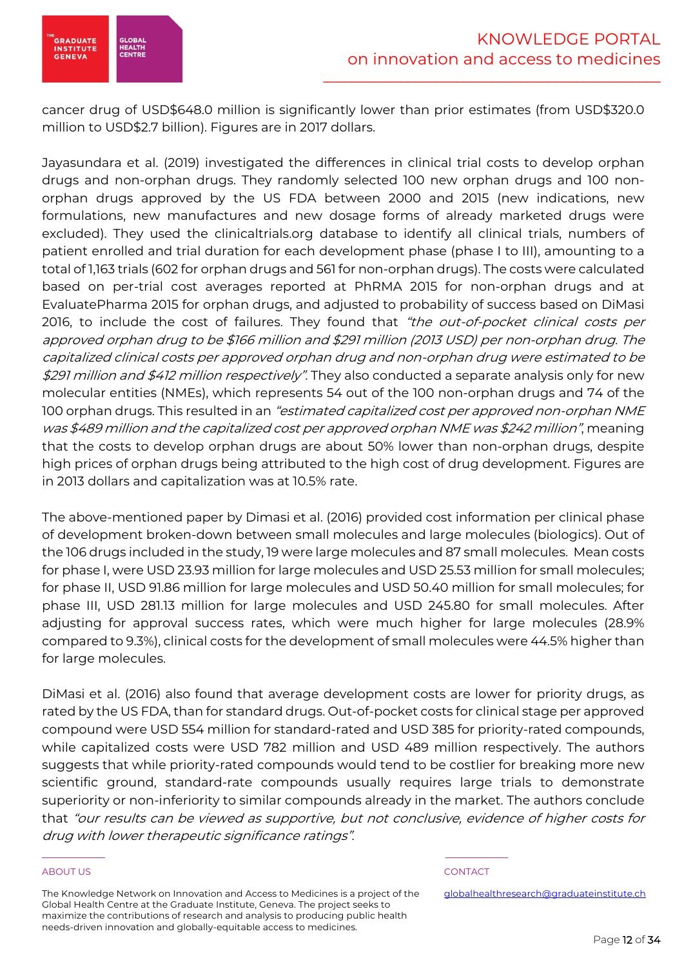

cancer drug of USD\$648.0 million is significantly lower than prior estimates (from USD\$320.0 million to USD\$2.7 billion). Figures are in 2017 dollars.

Jayasundara et al. (2019) investigated the differences in clinical trial costs to develop orphan drugs and non-orphan drugs. They randomly selected 100 new orphan drugs and 100 nonorphan drugs approved by the US FDA between 2000 and 2015 (new indications, new formulations, new manufactures and new dosage forms of already marketed drugs were excluded). They used the clinicaltrials.org database to identify all clinical trials, numbers of patient enrolled and trial duration for each development phase (phase I to III), amounting to a total of 1,163 trials (602 for orphan drugs and 561 for non-orphan drugs). The costs were calculated based on per-trial cost averages reported at PhRMA 2015 for non-orphan drugs and at EvaluatePharma 2015 for orphan drugs, and adjusted to probability of success based on DiMasi 2016, to include the cost of failures. They found that "the out-of-pocket clinical costs per approved orphan drug to be \$166 million and \$291 million (2013 USD) per non-orphan drug. The capitalized clinical costs per approved orphan drug and non-orphan drug were estimated to be \$291 million and \$412 million respectively". They also conducted a separate analysis only for new molecular entities (NMEs), which represents 54 out of the 100 non-orphan drugs and 74 of the 100 orphan drugs. This resulted in an "estimated capitalized cost per approved non-orphan NME was \$489 million and the capitalized cost per approved orphan NME was \$242 million", meaning that the costs to develop orphan drugs are about 50% lower than non-orphan drugs, despite high prices of orphan drugs being attributed to the high cost of drug development. Figures are in 2013 dollars and capitalization was at 10.5% rate.

The above-mentioned paper by Dimasi et al. (2016) provided cost information per clinical phase of development broken-down between small molecules and large molecules (biologics). Out of the 106 drugs included in the study, 19 were large molecules and 87 small molecules. Mean costs for phase I, were USD 23.93 million for large molecules and USD 25.53 million for small molecules; for phase II, USD 91.86 million for large molecules and USD 50.40 million for small molecules; for phase III, USD 281.13 million for large molecules and USD 245.80 for small molecules. After adjusting for approval success rates, which were much higher for large molecules (28.9% compared to 9.3%), clinical costs for the development of small molecules were 44.5% higher than for large molecules.

DiMasi et al. (2016) also found that average development costs are lower for priority drugs, as rated by the US FDA, than for standard drugs. Out-of-pocket costs for clinical stage per approved compound were USD 554 million for standard-rated and USD 385 for priority-rated compounds, while capitalized costs were USD 782 million and USD 489 million respectively. The authors suggests that while priority-rated compounds would tend to be costlier for breaking more new scientific ground, standard-rate compounds usually requires large trials to demonstrate superiority or non-inferiority to similar compounds already in the market. The authors conclude that "our results can be viewed as supportive, but not conclusive, evidence of higher costs for drug with lower therapeutic significance ratings".

# ABOUT US AND INTERNATIONAL CONTACT CONTACT AND INTERNATIONAL CONTACT.

The Knowledge Network on Innovation and Access to Medicines is a project of the Global Health Centre at the Graduate Institute, Geneva. The project seeks to maximize the contributions of research and analysis to producing public health needs-driven innovation and globally-equitable access to medicines.

\_\_\_\_\_\_\_\_\_\_\_ \_\_\_\_\_\_\_\_\_\_\_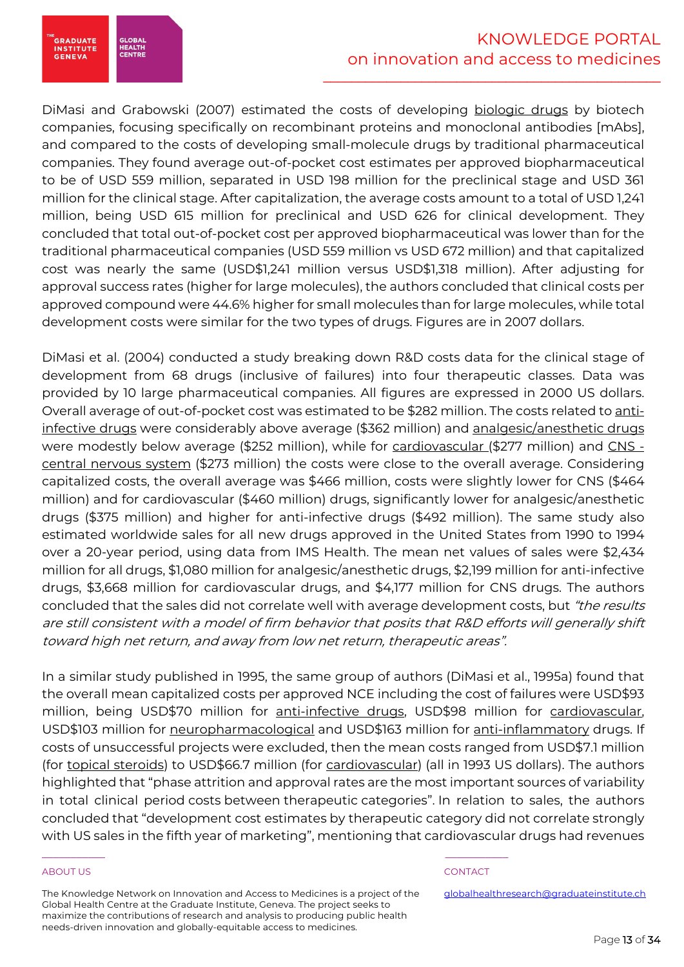

DiMasi and Grabowski (2007) estimated the costs of developing biologic drugs by biotech companies, focusing specifically on recombinant proteins and monoclonal antibodies [mAbs], and compared to the costs of developing small-molecule drugs by traditional pharmaceutical companies. They found average out-of-pocket cost estimates per approved biopharmaceutical to be of USD 559 million, separated in USD 198 million for the preclinical stage and USD 361 million for the clinical stage. After capitalization, the average costs amount to a total of USD 1,241 million, being USD 615 million for preclinical and USD 626 for clinical development. They concluded that total out-of-pocket cost per approved biopharmaceutical was lower than for the traditional pharmaceutical companies (USD 559 million vs USD 672 million) and that capitalized cost was nearly the same (USD\$1,241 million versus USD\$1,318 million). After adjusting for approval success rates (higher for large molecules), the authors concluded that clinical costs per approved compound were 44.6% higher for small molecules than for large molecules, while total development costs were similar for the two types of drugs. Figures are in 2007 dollars.

DiMasi et al. (2004) conducted a study breaking down R&D costs data for the clinical stage of development from 68 drugs (inclusive of failures) into four therapeutic classes. Data was provided by 10 large pharmaceutical companies. All figures are expressed in 2000 US dollars. Overall average of out-of-pocket cost was estimated to be \$282 million. The costs related to antiinfective drugs were considerably above average (\$362 million) and analgesic/anesthetic drugs were modestly below average (\$252 million), while for cardiovascular (\$277 million) and CNS central nervous system (\$273 million) the costs were close to the overall average. Considering capitalized costs, the overall average was \$466 million, costs were slightly lower for CNS (\$464 million) and for cardiovascular (\$460 million) drugs, significantly lower for analgesic/anesthetic drugs (\$375 million) and higher for anti-infective drugs (\$492 million). The same study also estimated worldwide sales for all new drugs approved in the United States from 1990 to 1994 over a 20-year period, using data from IMS Health. The mean net values of sales were \$2,434 million for all drugs, \$1,080 million for analgesic/anesthetic drugs, \$2,199 million for anti-infective drugs, \$3,668 million for cardiovascular drugs, and \$4,177 million for CNS drugs. The authors concluded that the sales did not correlate well with average development costs, but "the results are still consistent with a model of firm behavior that posits that R&D efforts will generally shift toward high net return, and away from low net return, therapeutic areas".

In a similar study published in 1995, the same group of authors (DiMasi et al., 1995a) found that the overall mean capitalized costs per approved NCE including the cost of failures were USD\$93 million, being USD\$70 million for anti-infective drugs, USD\$98 million for cardiovascular, USD\$103 million for neuropharmacological and USD\$163 million for anti-inflammatory drugs. If costs of unsuccessful projects were excluded, then the mean costs ranged from USD\$7.1 million (for topical steroids) to USD\$66.7 million (for cardiovascular) (all in 1993 US dollars). The authors highlighted that "phase attrition and approval rates are the most important sources of variability in total clinical period costs between therapeutic categories". In relation to sales, the authors concluded that "development cost estimates by therapeutic category did not correlate strongly with US sales in the fifth year of marketing", mentioning that cardiovascular drugs had revenues

# ABOUT US AND INTERNATIONAL CONTACT CONTACT AND INTERNATIONAL CONTACT.

The Knowledge Network on Innovation and Access to Medicines is a project of the Global Health Centre at the Graduate Institute, Geneva. The project seeks to maximize the contributions of research and analysis to producing public health needs-driven innovation and globally-equitable access to medicines.

\_\_\_\_\_\_\_\_\_\_\_ \_\_\_\_\_\_\_\_\_\_\_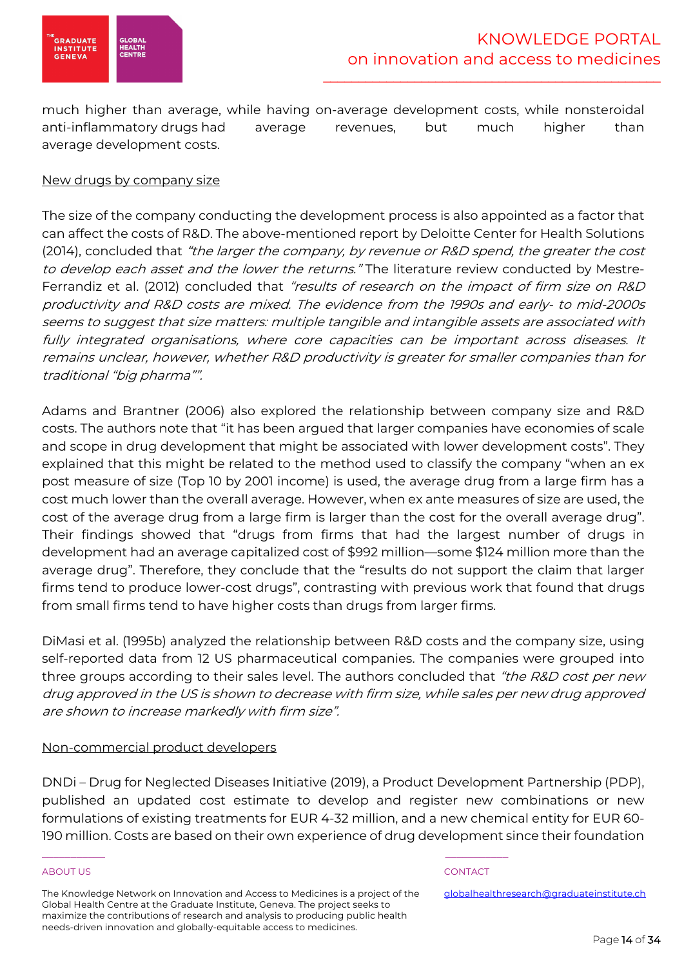

much higher than average, while having on-average development costs, while nonsteroidal anti-inflammatory drugs had average revenues, but much higher than average development costs.

# New drugs by company size

The size of the company conducting the development process is also appointed as a factor that can affect the costs of R&D. The above-mentioned report by Deloitte Center for Health Solutions (2014), concluded that "the larger the company, by revenue or R&D spend, the greater the cost to develop each asset and the lower the returns." The literature review conducted by Mestre-Ferrandiz et al. (2012) concluded that *"results of research on the impact of firm size on R&D* productivity and R&D costs are mixed. The evidence from the 1990s and early- to mid-2000s seems to suggest that size matters: multiple tangible and intangible assets are associated with fully integrated organisations, where core capacities can be important across diseases. It remains unclear, however, whether R&D productivity is greater for smaller companies than for traditional "big pharma"".

Adams and Brantner (2006) also explored the relationship between company size and R&D costs. The authors note that "it has been argued that larger companies have economies of scale and scope in drug development that might be associated with lower development costs". They explained that this might be related to the method used to classify the company "when an ex post measure of size (Top 10 by 2001 income) is used, the average drug from a large firm has a cost much lower than the overall average. However, when ex ante measures of size are used, the cost of the average drug from a large firm is larger than the cost for the overall average drug". Their findings showed that "drugs from firms that had the largest number of drugs in development had an average capitalized cost of \$992 million—some \$124 million more than the average drug". Therefore, they conclude that the "results do not support the claim that larger firms tend to produce lower-cost drugs", contrasting with previous work that found that drugs from small firms tend to have higher costs than drugs from larger firms.

DiMasi et al. (1995b) analyzed the relationship between R&D costs and the company size, using self-reported data from 12 US pharmaceutical companies. The companies were grouped into three groups according to their sales level. The authors concluded that "the R&D cost per new drug approved in the US is shown to decrease with firm size, while sales per new drug approved are shown to increase markedly with firm size".

# Non-commercial product developers

DNDi – Drug for Neglected Diseases Initiative (2019), a Product Development Partnership (PDP), published an updated cost estimate to develop and register new combinations or new formulations of existing treatments for EUR 4-32 million, and a new chemical entity for EUR 60- 190 million. Costs are based on their own experience of drug development since their foundation

# ABOUT US AND INTERNATIONAL CONTACT CONTACT AND INTERNATIONAL CONTACT.

The Knowledge Network on Innovation and Access to Medicines is a project of the Global Health Centre at the Graduate Institute, Geneva. The project seeks to maximize the contributions of research and analysis to producing public health needs-driven innovation and globally-equitable access to medicines.

\_\_\_\_\_\_\_\_\_\_\_ \_\_\_\_\_\_\_\_\_\_\_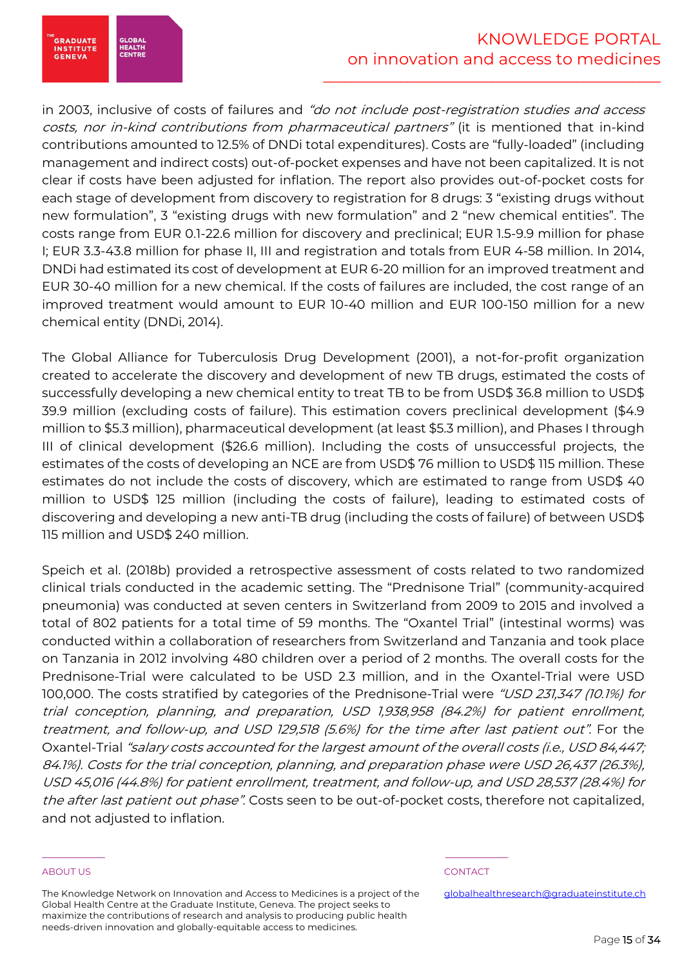in 2003, inclusive of costs of failures and "do not include post-registration studies and access costs, nor in-kind contributions from pharmaceutical partners" (it is mentioned that in-kind contributions amounted to 12.5% of DNDi total expenditures). Costs are "fully-loaded" (including management and indirect costs) out-of-pocket expenses and have not been capitalized. It is not clear if costs have been adjusted for inflation. The report also provides out-of-pocket costs for each stage of development from discovery to registration for 8 drugs: 3 "existing drugs without new formulation", 3 "existing drugs with new formulation" and 2 "new chemical entities". The costs range from EUR 0.1-22.6 million for discovery and preclinical; EUR 1.5-9.9 million for phase I; EUR 3.3-43.8 million for phase II, III and registration and totals from EUR 4-58 million. In 2014, DNDi had estimated its cost of development at EUR 6-20 million for an improved treatment and EUR 30-40 million for a new chemical. If the costs of failures are included, the cost range of an improved treatment would amount to EUR 10-40 million and EUR 100-150 million for a new chemical entity (DNDi, 2014).

The Global Alliance for Tuberculosis Drug Development (2001), a not-for-profit organization created to accelerate the discovery and development of new TB drugs, estimated the costs of successfully developing a new chemical entity to treat TB to be from USD\$ 36.8 million to USD\$ 39.9 million (excluding costs of failure). This estimation covers preclinical development (\$4.9 million to \$5.3 million), pharmaceutical development (at least \$5.3 million), and Phases I through III of clinical development (\$26.6 million). Including the costs of unsuccessful projects, the estimates of the costs of developing an NCE are from USD\$ 76 million to USD\$ 115 million. These estimates do not include the costs of discovery, which are estimated to range from USD\$ 40 million to USD\$ 125 million (including the costs of failure), leading to estimated costs of discovering and developing a new anti-TB drug (including the costs of failure) of between USD\$ 115 million and USD\$ 240 million.

Speich et al. (2018b) provided a retrospective assessment of costs related to two randomized clinical trials conducted in the academic setting. The "Prednisone Trial" (community-acquired pneumonia) was conducted at seven centers in Switzerland from 2009 to 2015 and involved a total of 802 patients for a total time of 59 months. The "Oxantel Trial" (intestinal worms) was conducted within a collaboration of researchers from Switzerland and Tanzania and took place on Tanzania in 2012 involving 480 children over a period of 2 months. The overall costs for the Prednisone-Trial were calculated to be USD 2.3 million, and in the Oxantel-Trial were USD 100,000. The costs stratified by categories of the Prednisone-Trial were "USD 231,347 (10.1%) for trial conception, planning, and preparation, USD 1,938,958 (84.2%) for patient enrollment, treatment, and follow-up, and USD 129,518 (5.6%) for the time after last patient out". For the Oxantel-Trial "salary costs accounted for the largest amount of the overall costs (i.e., USD 84,447; 84.1%). Costs for the trial conception, planning, and preparation phase were USD 26,437 (26.3%), USD 45,016 (44.8%) for patient enrollment, treatment, and follow-up, and USD 28,537 (28.4%) for the after last patient out phase". Costs seen to be out-of-pocket costs, therefore not capitalized, and not adjusted to inflation.

# ABOUT US AND INTERNATIONAL CONTACT CONTACT AND INTERNATIONAL CONTACT.

GLOBAI<br>HEALTH<br>CENTRE

**GRADUATE**<br>INSTITUTE **GENEVA** 

The Knowledge Network on Innovation and Access to Medicines is a project of the Global Health Centre at the Graduate Institute, Geneva. The project seeks to maximize the contributions of research and analysis to producing public health needs-driven innovation and globally-equitable access to medicines.

\_\_\_\_\_\_\_\_\_\_\_ \_\_\_\_\_\_\_\_\_\_\_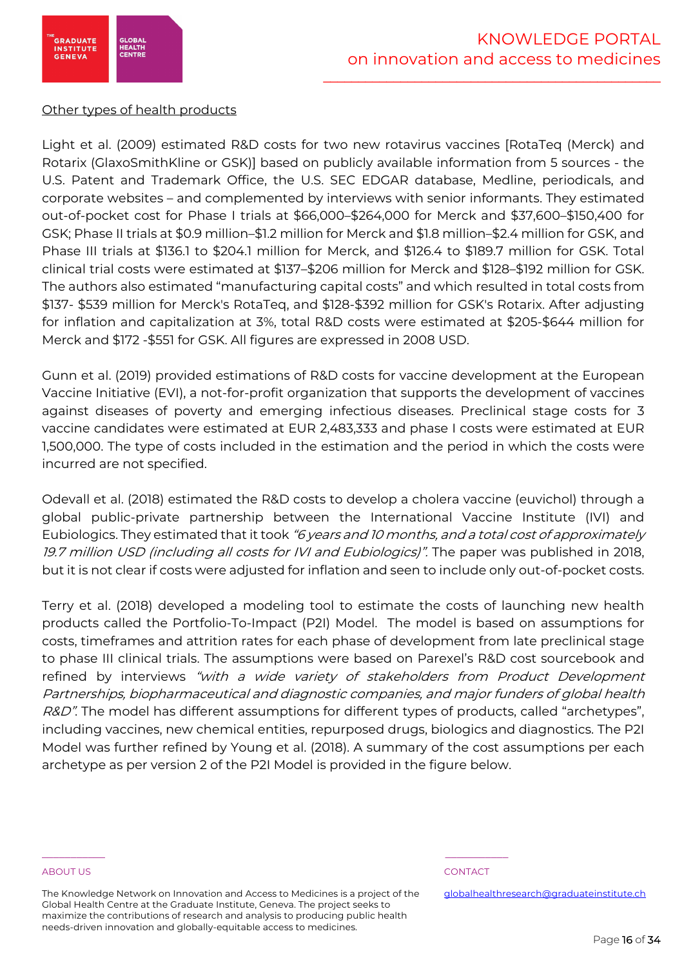

# Other types of health products

Light et al. (2009) estimated R&D costs for two new rotavirus vaccines [RotaTeq (Merck) and Rotarix (GlaxoSmithKline or GSK)] based on publicly available information from 5 sources - the U.S. Patent and Trademark Office, the U.S. SEC EDGAR database, Medline, periodicals, and corporate websites – and complemented by interviews with senior informants. They estimated out-of-pocket cost for Phase I trials at \$66,000–\$264,000 for Merck and \$37,600–\$150,400 for GSK; Phase II trials at \$0.9 million–\$1.2 million for Merck and \$1.8 million–\$2.4 million for GSK, and Phase III trials at \$136.1 to \$204.1 million for Merck, and \$126.4 to \$189.7 million for GSK. Total clinical trial costs were estimated at \$137–\$206 million for Merck and \$128–\$192 million for GSK. The authors also estimated "manufacturing capital costs" and which resulted in total costs from \$137- \$539 million for Merck's RotaTeq, and \$128-\$392 million for GSK's Rotarix. After adjusting for inflation and capitalization at 3%, total R&D costs were estimated at \$205-\$644 million for Merck and \$172 -\$551 for GSK. All figures are expressed in 2008 USD.

Gunn et al. (2019) provided estimations of R&D costs for vaccine development at the European Vaccine Initiative (EVI), a not-for-profit organization that supports the development of vaccines against diseases of poverty and emerging infectious diseases. Preclinical stage costs for 3 vaccine candidates were estimated at EUR 2,483,333 and phase I costs were estimated at EUR 1,500,000. The type of costs included in the estimation and the period in which the costs were incurred are not specified.

Odevall et al. (2018) estimated the R&D costs to develop a cholera vaccine (euvichol) through a global public-private partnership between the International Vaccine Institute (IVI) and Eubiologics. They estimated that it took "6 years and 10 months, and a total cost of approximately 19.7 million USD (including all costs for IVI and Eubiologics)". The paper was published in 2018, but it is not clear if costs were adjusted for inflation and seen to include only out-of-pocket costs.

Terry et al. (2018) developed a modeling tool to estimate the costs of launching new health products called the Portfolio-To-Impact (P2I) Model. The model is based on assumptions for costs, timeframes and attrition rates for each phase of development from late preclinical stage to phase III clinical trials. The assumptions were based on Parexel's R&D cost sourcebook and refined by interviews "with a wide variety of stakeholders from Product Development Partnerships, biopharmaceutical and diagnostic companies, and major funders of global health R&D". The model has different assumptions for different types of products, called "archetypes", including vaccines, new chemical entities, repurposed drugs, biologics and diagnostics. The P2I Model was further refined by Young et al. (2018). A summary of the cost assumptions per each archetype as per version 2 of the P2I Model is provided in the figure below.

# ABOUT US AND INTERNATIONAL CONTACT CONTACT AND INTERNATIONAL CONTACT.

The Knowledge Network on Innovation and Access to Medicines is a project of the Global Health Centre at the Graduate Institute, Geneva. The project seeks to maximize the contributions of research and analysis to producing public health needs-driven innovation and globally-equitable access to medicines.

\_\_\_\_\_\_\_\_\_\_\_ \_\_\_\_\_\_\_\_\_\_\_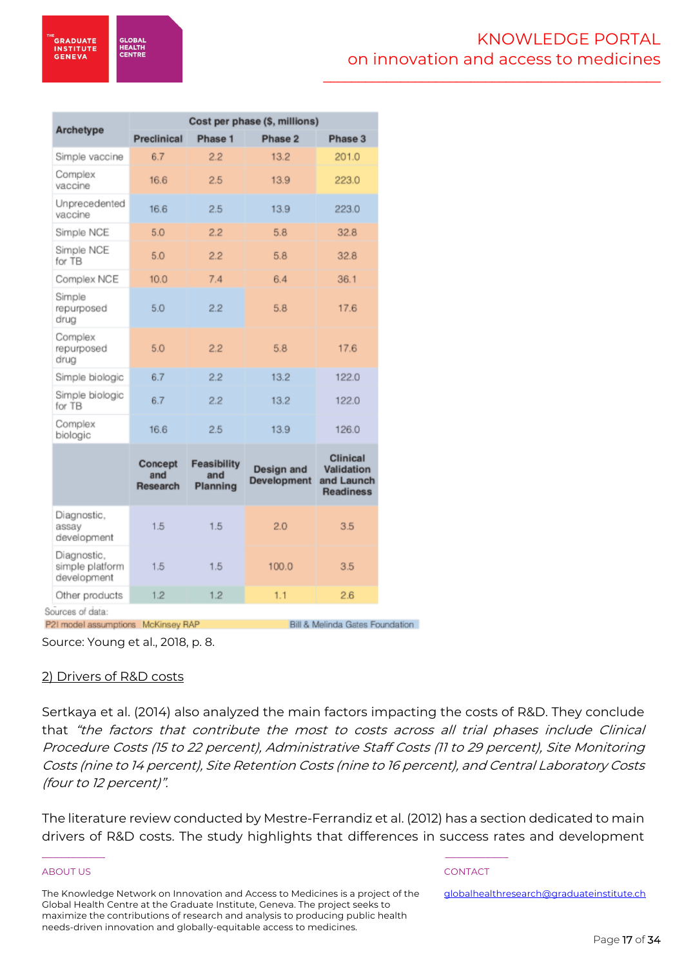**GLOBA HEALTH**<br>CENTRI

\_\_\_\_\_\_\_\_\_\_\_\_\_\_\_\_\_\_\_\_\_\_\_\_\_\_\_\_\_\_\_\_\_\_\_\_\_\_\_\_\_\_\_\_\_\_\_\_

| Archetype                                     | Cost per phase (\$, millions) |                                       |                                  |                                                                 |  |  |  |  |  |  |
|-----------------------------------------------|-------------------------------|---------------------------------------|----------------------------------|-----------------------------------------------------------------|--|--|--|--|--|--|
|                                               | <b>Preclinical</b>            | Phase 1                               | Phase 2                          | Phase 3                                                         |  |  |  |  |  |  |
| Simple vaccine                                | 6.7                           | 2.2                                   | 13.2                             | 201.0                                                           |  |  |  |  |  |  |
| Complex<br>vaccine                            | 16.6                          | 2.5                                   | 13.9                             | 223.0                                                           |  |  |  |  |  |  |
| Unprecedented<br>vaccine                      | 16.6                          | 2.5                                   | 13.9                             | 223.0                                                           |  |  |  |  |  |  |
| Simple NCE                                    | 5.0                           | 2.2                                   | 5.8                              | 32.8                                                            |  |  |  |  |  |  |
| Simple NCE<br>for TB                          | 5.0                           | 2.2                                   | 5.8                              | 32.8                                                            |  |  |  |  |  |  |
| Complex NCE                                   | 10.0                          | 7.4                                   | 6.4                              | 36.1                                                            |  |  |  |  |  |  |
| Simple<br>repurposed<br>drug                  | 5.0                           | 2.2                                   | 5.8                              | 17.6                                                            |  |  |  |  |  |  |
| Complex<br>repurposed<br>drua                 | 5.0                           | 2.2                                   | 5.8                              | 17.6                                                            |  |  |  |  |  |  |
| Simple biologic                               | 6.7                           | 2.2                                   | 13.2                             | 122.0                                                           |  |  |  |  |  |  |
| Simple biologic<br>for TB                     | 6.7                           | 2.2                                   | 13.2                             | 122.0                                                           |  |  |  |  |  |  |
| Complex<br>biologic                           | 16.6                          | 2.5                                   | 13.9                             | 126.0                                                           |  |  |  |  |  |  |
|                                               | Concept<br>and<br>Research    | <b>Feasibility</b><br>and<br>Planning | Design and<br><b>Development</b> | <b>Clinical</b><br>Validation<br>and Launch<br><b>Readiness</b> |  |  |  |  |  |  |
| Diagnostic,<br>assay<br>development           | 1.5                           | 1.5                                   | 2.0                              | 3.5                                                             |  |  |  |  |  |  |
| Diagnostic,<br>simple platform<br>development | 1.5                           | 1.5                                   | 100.0                            | 3.5                                                             |  |  |  |  |  |  |
| Other products                                | 1.2                           | 1.2                                   | 1.1                              | 2.6                                                             |  |  |  |  |  |  |
| Sources of data:                              |                               |                                       |                                  |                                                                 |  |  |  |  |  |  |

P2I model assumptions McKinsey RAP

Bill & Melinda Gates Foundation

Source: Young et al., 2018, p. 8.

# 2) Drivers of R&D costs

Sertkaya et al. (2014) also analyzed the main factors impacting the costs of R&D. They conclude that "the factors that contribute the most to costs across all trial phases include Clinical Procedure Costs (15 to 22 percent), Administrative Staff Costs (11 to 29 percent), Site Monitoring Costs (nine to 14 percent), Site Retention Costs (nine to 16 percent), and Central Laboratory Costs (four to 12 percent)".

The literature review conducted by Mestre-Ferrandiz et al. (2012) has a section dedicated to main drivers of R&D costs. The study highlights that differences in success rates and development

# ABOUT US AND INTERNATIONAL CONTACT CONTACT AND INTERNATIONAL CONTACT.

The Knowledge Network on Innovation and Access to Medicines is a project of the Global Health Centre at the Graduate Institute, Geneva. The project seeks to maximize the contributions of research and analysis to producing public health needs-driven innovation and globally-equitable access to medicines.

\_\_\_\_\_\_\_\_\_\_\_ \_\_\_\_\_\_\_\_\_\_\_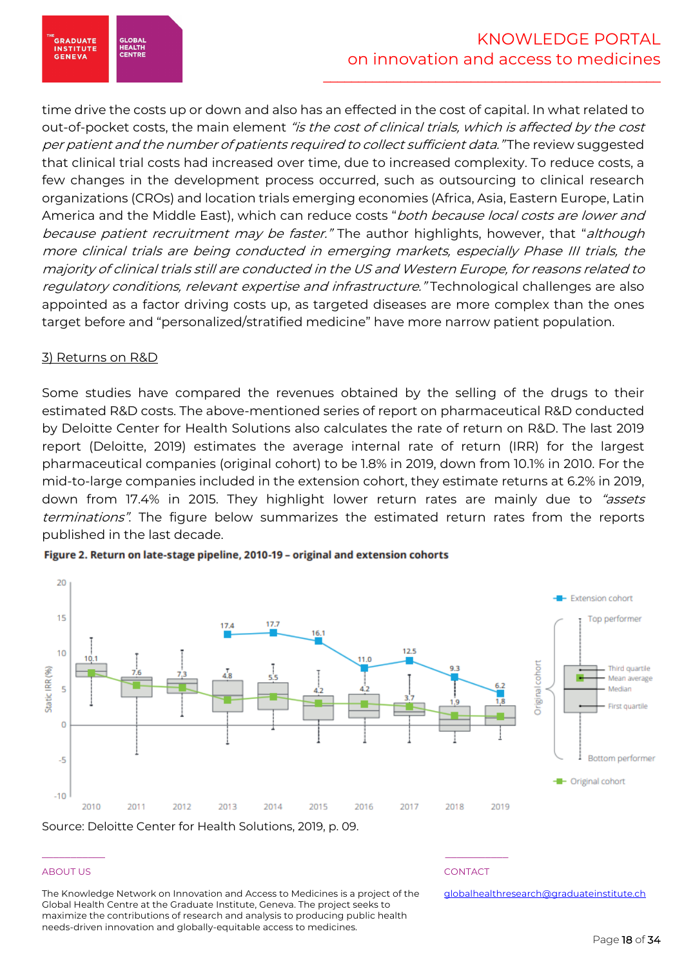time drive the costs up or down and also has an effected in the cost of capital. In what related to out-of-pocket costs, the main element "is the cost of clinical trials, which is affected by the cost per patient and the number of patients required to collect sufficient data." The review suggested that clinical trial costs had increased over time, due to increased complexity. To reduce costs, a few changes in the development process occurred, such as outsourcing to clinical research organizations (CROs) and location trials emerging economies (Africa, Asia, Eastern Europe, Latin America and the Middle East), which can reduce costs "both because local costs are lower and because patient recruitment may be faster." The author highlights, however, that "although more clinical trials are being conducted in emerging markets, especially Phase III trials, the majority of clinical trials still are conducted in the US and Western Europe, for reasons related to regulatory conditions, relevant expertise and infrastructure." Technological challenges are also appointed as a factor driving costs up, as targeted diseases are more complex than the ones target before and "personalized/stratified medicine" have more narrow patient population.

# 3) Returns on R&D

.<br>GRADUATE<br>INSTITUTE

**GENEVA** 

GLOBAI<br>HEALTH<br>CENTRE

Some studies have compared the revenues obtained by the selling of the drugs to their estimated R&D costs. The above-mentioned series of report on pharmaceutical R&D conducted by Deloitte Center for Health Solutions also calculates the rate of return on R&D. The last 2019 report (Deloitte, 2019) estimates the average internal rate of return (IRR) for the largest pharmaceutical companies (original cohort) to be 1.8% in 2019, down from 10.1% in 2010. For the mid-to-large companies included in the extension cohort, they estimate returns at 6.2% in 2019, down from 17.4% in 2015. They highlight lower return rates are mainly due to "assets terminations". The figure below summarizes the estimated return rates from the reports published in the last decade.



# Figure 2. Return on late-stage pipeline, 2010-19 - original and extension cohorts

# ABOUT US AND INTERNATIONAL CONTACT CONTACT AND INTERNATIONAL CONTACT.

The Knowledge Network on Innovation and Access to Medicines is a project of the Global Health Centre at the Graduate Institute, Geneva. The project seeks to maximize the contributions of research and analysis to producing public health needs-driven innovation and globally-equitable access to medicines.

\_\_\_\_\_\_\_\_\_\_\_ \_\_\_\_\_\_\_\_\_\_\_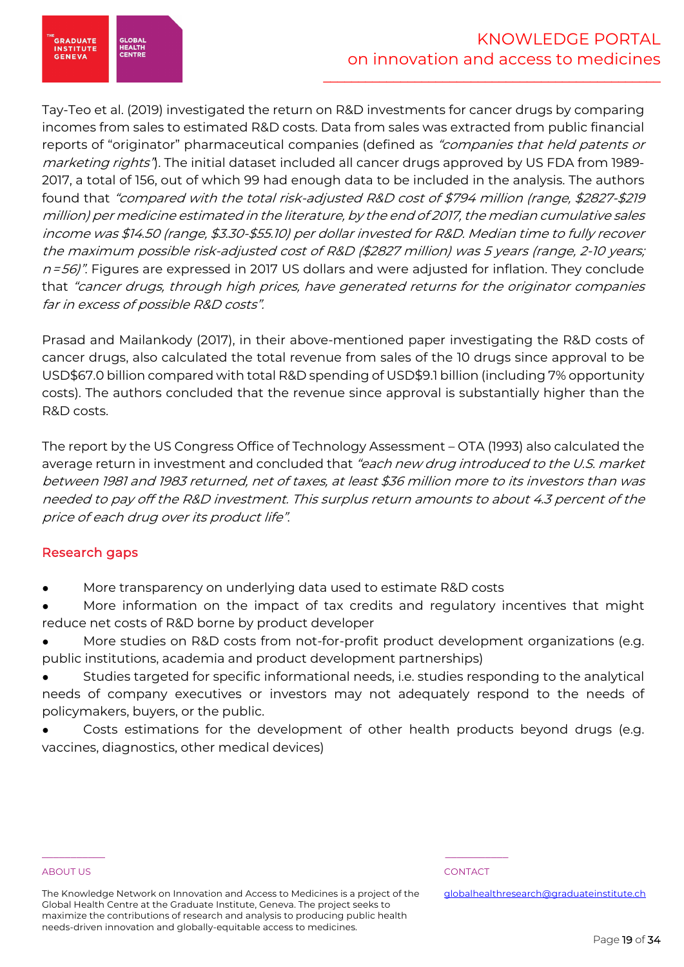

Tay-Teo et al. (2019) investigated the return on R&D investments for cancer drugs by comparing incomes from sales to estimated R&D costs. Data from sales was extracted from public financial reports of "originator" pharmaceutical companies (defined as "companies that held patents or marketing rights"). The initial dataset included all cancer drugs approved by US FDA from 1989-2017, a total of 156, out of which 99 had enough data to be included in the analysis. The authors found that "compared with the total risk-adjusted R&D cost of \$794 million (range, \$2827-\$219 million) per medicine estimated in the literature, by the end of 2017, the median cumulative sales income was \$14.50 (range, \$3.30-\$55.10) per dollar invested for R&D. Median time to fully recover the maximum possible risk-adjusted cost of R&D (\$2827 million) was 5 years (range, 2-10 years;  $n=56$ ". Figures are expressed in 2017 US dollars and were adjusted for inflation. They conclude that "cancer drugs, through high prices, have generated returns for the originator companies far in excess of possible R&D costs".

Prasad and Mailankody (2017), in their above-mentioned paper investigating the R&D costs of cancer drugs, also calculated the total revenue from sales of the 10 drugs since approval to be USD\$67.0 billion compared with total R&D spending of USD\$9.1 billion (including 7% opportunity costs). The authors concluded that the revenue since approval is substantially higher than the R&D costs.

The report by the US Congress Office of Technology Assessment – OTA (1993) also calculated the average return in investment and concluded that "each new drug introduced to the U.S. market between 1981 and 1983 returned, net of taxes, at least \$36 million more to its investors than was needed to pay off the R&D investment. This surplus return amounts to about 4.3 percent of the price of each drug over its product life".

# Research gaps

More transparency on underlying data used to estimate R&D costs

\_\_\_\_\_\_\_\_\_\_\_ \_\_\_\_\_\_\_\_\_\_\_

- More information on the impact of tax credits and regulatory incentives that might reduce net costs of R&D borne by product developer
- More studies on R&D costs from not-for-profit product development organizations (e.g. public institutions, academia and product development partnerships)
- Studies targeted for specific informational needs, i.e. studies responding to the analytical needs of company executives or investors may not adequately respond to the needs of policymakers, buyers, or the public.
- Costs estimations for the development of other health products beyond drugs (e.g. vaccines, diagnostics, other medical devices)

# ABOUT US AND INTERNATIONAL CONTACT CONTACT AND INTERNATIONAL CONTACT.

The Knowledge Network on Innovation and Access to Medicines is a project of the Global Health Centre at the Graduate Institute, Geneva. The project seeks to maximize the contributions of research and analysis to producing public health needs-driven innovation and globally-equitable access to medicines.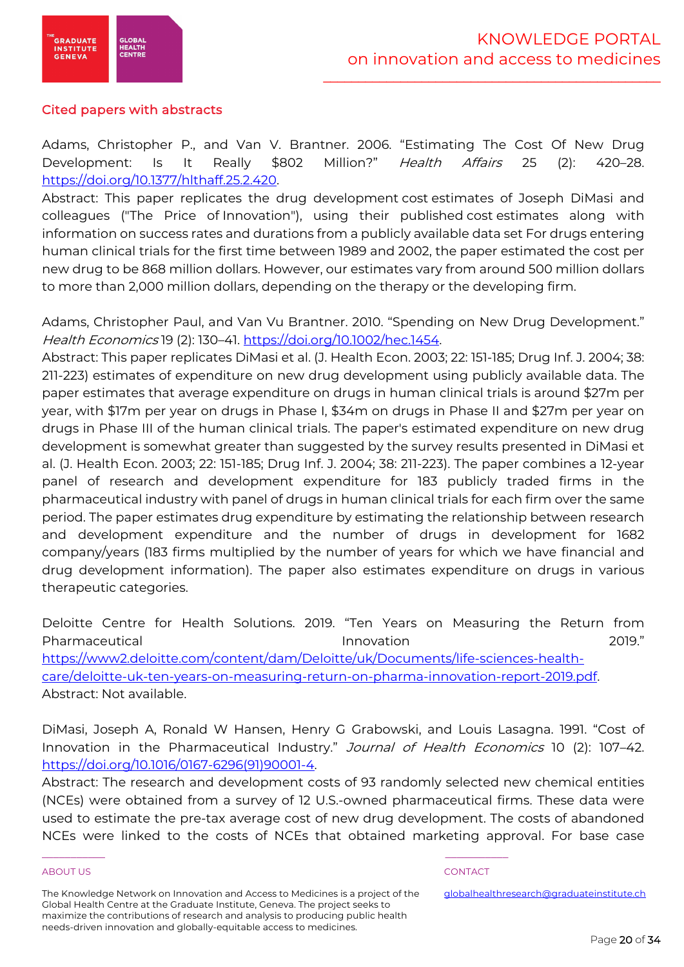

# Cited papers with abstracts

Adams, Christopher P., and Van V. Brantner. 2006. "Estimating The Cost Of New Drug Development: Is It Really \$802 Million?" Health Affairs 25 (2): 420-28. https://doi.org/10.1377/hlthaff.25.2.420.

Abstract: This paper replicates the drug development cost estimates of Joseph DiMasi and colleagues ("The Price of Innovation"), using their published cost estimates along with information on success rates and durations from a publicly available data set For drugs entering human clinical trials for the first time between 1989 and 2002, the paper estimated the cost per new drug to be 868 million dollars. However, our estimates vary from around 500 million dollars to more than 2,000 million dollars, depending on the therapy or the developing firm.

Adams, Christopher Paul, and Van Vu Brantner. 2010. "Spending on New Drug Development." Health Economics 19 (2): 130–41. https://doi.org/10.1002/hec.1454.

Abstract: This paper replicates DiMasi et al. (J. Health Econ. 2003; 22: 151-185; Drug Inf. J. 2004; 38: 211-223) estimates of expenditure on new drug development using publicly available data. The paper estimates that average expenditure on drugs in human clinical trials is around \$27m per year, with \$17m per year on drugs in Phase I, \$34m on drugs in Phase II and \$27m per year on drugs in Phase III of the human clinical trials. The paper's estimated expenditure on new drug development is somewhat greater than suggested by the survey results presented in DiMasi et al. (J. Health Econ. 2003; 22: 151-185; Drug Inf. J. 2004; 38: 211-223). The paper combines a 12-year panel of research and development expenditure for 183 publicly traded firms in the pharmaceutical industry with panel of drugs in human clinical trials for each firm over the same period. The paper estimates drug expenditure by estimating the relationship between research and development expenditure and the number of drugs in development for 1682 company/years (183 firms multiplied by the number of years for which we have financial and drug development information). The paper also estimates expenditure on drugs in various therapeutic categories.

Deloitte Centre for Health Solutions. 2019. "Ten Years on Measuring the Return from Pharmaceutical Innovation 2019." https://www2.deloitte.com/content/dam/Deloitte/uk/Documents/life-sciences-healthcare/deloitte-uk-ten-years-on-measuring-return-on-pharma-innovation-report-2019.pdf. Abstract: Not available.

DiMasi, Joseph A, Ronald W Hansen, Henry G Grabowski, and Louis Lasagna. 1991. "Cost of Innovation in the Pharmaceutical Industry." Journal of Health Economics 10 (2): 107-42. https://doi.org/10.1016/0167-6296(91)90001-4.

Abstract: The research and development costs of 93 randomly selected new chemical entities (NCEs) were obtained from a survey of 12 U.S.-owned pharmaceutical firms. These data were used to estimate the pre-tax average cost of new drug development. The costs of abandoned NCEs were linked to the costs of NCEs that obtained marketing approval. For base case

# ABOUT US AND INTERNATIONAL CONTACT CONTACT AND INTERNATIONAL CONTACT.

The Knowledge Network on Innovation and Access to Medicines is a project of the Global Health Centre at the Graduate Institute, Geneva. The project seeks to maximize the contributions of research and analysis to producing public health needs-driven innovation and globally-equitable access to medicines.

\_\_\_\_\_\_\_\_\_\_\_ \_\_\_\_\_\_\_\_\_\_\_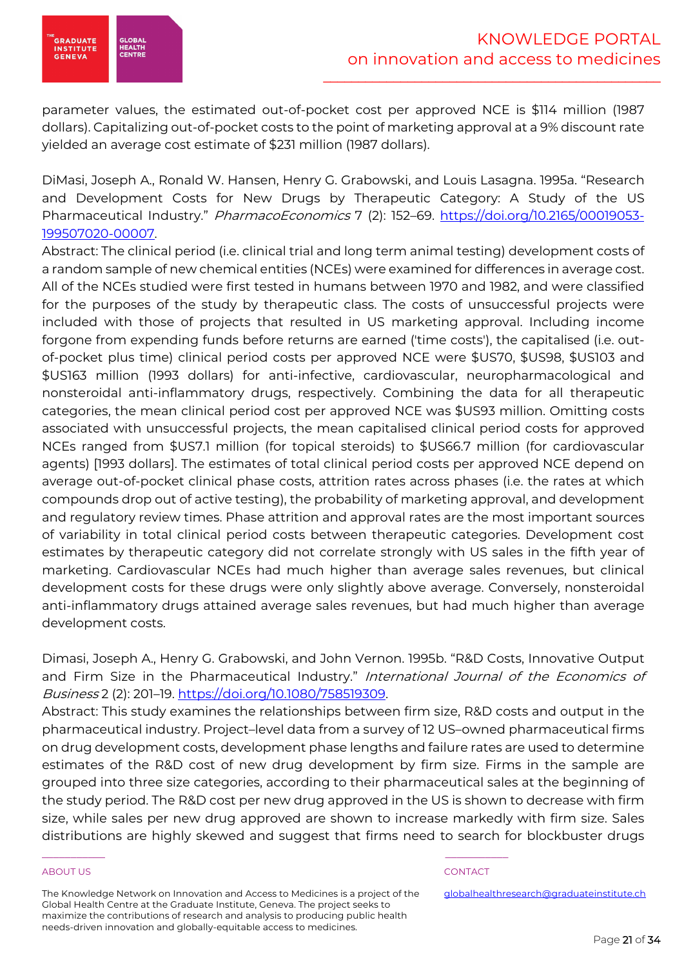

parameter values, the estimated out-of-pocket cost per approved NCE is \$114 million (1987 dollars). Capitalizing out-of-pocket costs to the point of marketing approval at a 9% discount rate yielded an average cost estimate of \$231 million (1987 dollars).

DiMasi, Joseph A., Ronald W. Hansen, Henry G. Grabowski, and Louis Lasagna. 1995a. "Research and Development Costs for New Drugs by Therapeutic Category: A Study of the US Pharmaceutical Industry." PharmacoEconomics 7 (2): 152-69. https://doi.org/10.2165/00019053-199507020-00007.

Abstract: The clinical period (i.e. clinical trial and long term animal testing) development costs of a random sample of new chemical entities (NCEs) were examined for differences in average cost. All of the NCEs studied were first tested in humans between 1970 and 1982, and were classified for the purposes of the study by therapeutic class. The costs of unsuccessful projects were included with those of projects that resulted in US marketing approval. Including income forgone from expending funds before returns are earned ('time costs'), the capitalised (i.e. outof-pocket plus time) clinical period costs per approved NCE were \$US70, \$US98, \$US103 and \$US163 million (1993 dollars) for anti-infective, cardiovascular, neuropharmacological and nonsteroidal anti-inflammatory drugs, respectively. Combining the data for all therapeutic categories, the mean clinical period cost per approved NCE was \$US93 million. Omitting costs associated with unsuccessful projects, the mean capitalised clinical period costs for approved NCEs ranged from \$US7.1 million (for topical steroids) to \$US66.7 million (for cardiovascular agents) [1993 dollars]. The estimates of total clinical period costs per approved NCE depend on average out-of-pocket clinical phase costs, attrition rates across phases (i.e. the rates at which compounds drop out of active testing), the probability of marketing approval, and development and regulatory review times. Phase attrition and approval rates are the most important sources of variability in total clinical period costs between therapeutic categories. Development cost estimates by therapeutic category did not correlate strongly with US sales in the fifth year of marketing. Cardiovascular NCEs had much higher than average sales revenues, but clinical development costs for these drugs were only slightly above average. Conversely, nonsteroidal anti-inflammatory drugs attained average sales revenues, but had much higher than average development costs.

Dimasi, Joseph A., Henry G. Grabowski, and John Vernon. 1995b. "R&D Costs, Innovative Output and Firm Size in the Pharmaceutical Industry." International Journal of the Economics of Business 2 (2): 201–19. https://doi.org/10.1080/758519309.

Abstract: This study examines the relationships between firm size, R&D costs and output in the pharmaceutical industry. Project–level data from a survey of 12 US–owned pharmaceutical firms on drug development costs, development phase lengths and failure rates are used to determine estimates of the R&D cost of new drug development by firm size. Firms in the sample are grouped into three size categories, according to their pharmaceutical sales at the beginning of the study period. The R&D cost per new drug approved in the US is shown to decrease with firm size, while sales per new drug approved are shown to increase markedly with firm size. Sales distributions are highly skewed and suggest that firms need to search for blockbuster drugs

# ABOUT US AND INTERNATIONAL CONTACT CONTACT AND INTERNATIONAL CONTACT.

The Knowledge Network on Innovation and Access to Medicines is a project of the Global Health Centre at the Graduate Institute, Geneva. The project seeks to maximize the contributions of research and analysis to producing public health needs-driven innovation and globally-equitable access to medicines.

\_\_\_\_\_\_\_\_\_\_\_ \_\_\_\_\_\_\_\_\_\_\_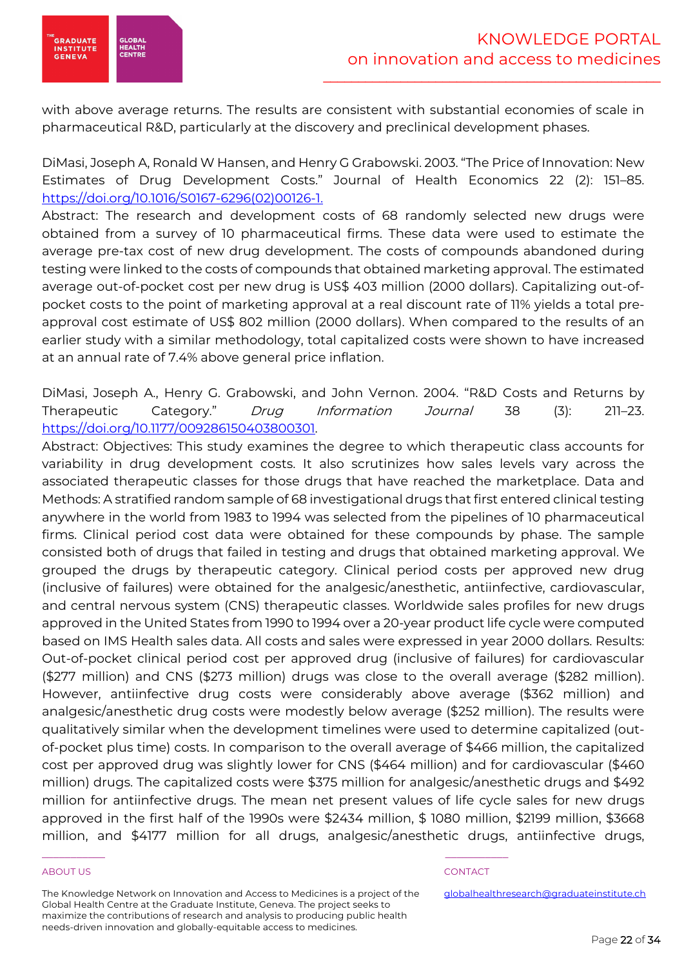

with above average returns. The results are consistent with substantial economies of scale in pharmaceutical R&D, particularly at the discovery and preclinical development phases.

DiMasi, Joseph A, Ronald W Hansen, and Henry G Grabowski. 2003. "The Price of Innovation: New Estimates of Drug Development Costs." Journal of Health Economics 22 (2): 151–85. https://doi.org/10.1016/S0167-6296(02)00126-1.

Abstract: The research and development costs of 68 randomly selected new drugs were obtained from a survey of 10 pharmaceutical firms. These data were used to estimate the average pre-tax cost of new drug development. The costs of compounds abandoned during testing were linked to the costs of compounds that obtained marketing approval. The estimated average out-of-pocket cost per new drug is US\$ 403 million (2000 dollars). Capitalizing out-ofpocket costs to the point of marketing approval at a real discount rate of 11% yields a total preapproval cost estimate of US\$ 802 million (2000 dollars). When compared to the results of an earlier study with a similar methodology, total capitalized costs were shown to have increased at an annual rate of 7.4% above general price inflation.

DiMasi, Joseph A., Henry G. Grabowski, and John Vernon. 2004. "R&D Costs and Returns by Therapeutic Category." Drug Information Journal 38 (3): 211–23. https://doi.org/10.1177/009286150403800301.

Abstract: Objectives: This study examines the degree to which therapeutic class accounts for variability in drug development costs. It also scrutinizes how sales levels vary across the associated therapeutic classes for those drugs that have reached the marketplace. Data and Methods: A stratified random sample of 68 investigational drugs that first entered clinical testing anywhere in the world from 1983 to 1994 was selected from the pipelines of 10 pharmaceutical firms. Clinical period cost data were obtained for these compounds by phase. The sample consisted both of drugs that failed in testing and drugs that obtained marketing approval. We grouped the drugs by therapeutic category. Clinical period costs per approved new drug (inclusive of failures) were obtained for the analgesic/anesthetic, antiinfective, cardiovascular, and central nervous system (CNS) therapeutic classes. Worldwide sales profiles for new drugs approved in the United States from 1990 to 1994 over a 20-year product life cycle were computed based on IMS Health sales data. All costs and sales were expressed in year 2000 dollars. Results: Out-of-pocket clinical period cost per approved drug (inclusive of failures) for cardiovascular (\$277 million) and CNS (\$273 million) drugs was close to the overall average (\$282 million). However, antiinfective drug costs were considerably above average (\$362 million) and analgesic/anesthetic drug costs were modestly below average (\$252 million). The results were qualitatively similar when the development timelines were used to determine capitalized (outof-pocket plus time) costs. In comparison to the overall average of \$466 million, the capitalized cost per approved drug was slightly lower for CNS (\$464 million) and for cardiovascular (\$460 million) drugs. The capitalized costs were \$375 million for analgesic/anesthetic drugs and \$492 million for antiinfective drugs. The mean net present values of life cycle sales for new drugs approved in the first half of the 1990s were \$2434 million, \$ 1080 million, \$2199 million, \$3668 million, and \$4177 million for all drugs, analgesic/anesthetic drugs, antiinfective drugs,

# ABOUT US AND INTERNATIONAL CONTACT CONTACT AND INTERNATIONAL CONTACT.

The Knowledge Network on Innovation and Access to Medicines is a project of the Global Health Centre at the Graduate Institute, Geneva. The project seeks to maximize the contributions of research and analysis to producing public health needs-driven innovation and globally-equitable access to medicines.

\_\_\_\_\_\_\_\_\_\_\_ \_\_\_\_\_\_\_\_\_\_\_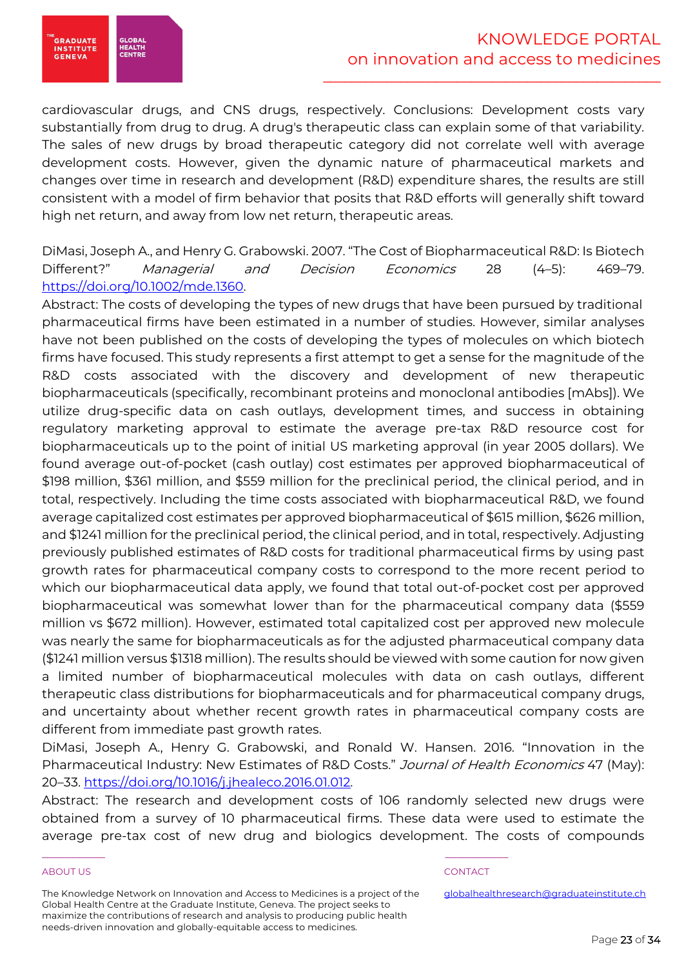# KNOWLEDGE PORTAL on innovation and access to medicines

\_\_\_\_\_\_\_\_\_\_\_\_\_\_\_\_\_\_\_\_\_\_\_\_\_\_\_\_\_\_\_\_\_\_\_\_\_\_\_\_\_\_\_\_\_\_\_\_



cardiovascular drugs, and CNS drugs, respectively. Conclusions: Development costs vary substantially from drug to drug. A drug's therapeutic class can explain some of that variability. The sales of new drugs by broad therapeutic category did not correlate well with average development costs. However, given the dynamic nature of pharmaceutical markets and changes over time in research and development (R&D) expenditure shares, the results are still consistent with a model of firm behavior that posits that R&D efforts will generally shift toward high net return, and away from low net return, therapeutic areas.

DiMasi, Joseph A., and Henry G. Grabowski. 2007. "The Cost of Biopharmaceutical R&D: Is Biotech Different?" Managerial and Decision Economics 28 (4–5): 469–79. https://doi.org/10.1002/mde.1360.

Abstract: The costs of developing the types of new drugs that have been pursued by traditional pharmaceutical firms have been estimated in a number of studies. However, similar analyses have not been published on the costs of developing the types of molecules on which biotech firms have focused. This study represents a first attempt to get a sense for the magnitude of the R&D costs associated with the discovery and development of new therapeutic biopharmaceuticals (specifically, recombinant proteins and monoclonal antibodies [mAbs]). We utilize drug-specific data on cash outlays, development times, and success in obtaining regulatory marketing approval to estimate the average pre-tax R&D resource cost for biopharmaceuticals up to the point of initial US marketing approval (in year 2005 dollars). We found average out-of-pocket (cash outlay) cost estimates per approved biopharmaceutical of \$198 million, \$361 million, and \$559 million for the preclinical period, the clinical period, and in total, respectively. Including the time costs associated with biopharmaceutical R&D, we found average capitalized cost estimates per approved biopharmaceutical of \$615 million, \$626 million, and \$1241 million for the preclinical period, the clinical period, and in total, respectively. Adjusting previously published estimates of R&D costs for traditional pharmaceutical firms by using past growth rates for pharmaceutical company costs to correspond to the more recent period to which our biopharmaceutical data apply, we found that total out-of-pocket cost per approved biopharmaceutical was somewhat lower than for the pharmaceutical company data (\$559 million vs \$672 million). However, estimated total capitalized cost per approved new molecule was nearly the same for biopharmaceuticals as for the adjusted pharmaceutical company data (\$1241 million versus \$1318 million). The results should be viewed with some caution for now given a limited number of biopharmaceutical molecules with data on cash outlays, different therapeutic class distributions for biopharmaceuticals and for pharmaceutical company drugs, and uncertainty about whether recent growth rates in pharmaceutical company costs are different from immediate past growth rates.

DiMasi, Joseph A., Henry G. Grabowski, and Ronald W. Hansen. 2016. "Innovation in the Pharmaceutical Industry: New Estimates of R&D Costs." Journal of Health Economics 47 (May): 20–33. https://doi.org/10.1016/j.jhealeco.2016.01.012.

Abstract: The research and development costs of 106 randomly selected new drugs were obtained from a survey of 10 pharmaceutical firms. These data were used to estimate the average pre-tax cost of new drug and biologics development. The costs of compounds

# ABOUT US AND INTERNATIONAL CONTACT CONTACT AND INTERNATIONAL CONTACT.

The Knowledge Network on Innovation and Access to Medicines is a project of the Global Health Centre at the Graduate Institute, Geneva. The project seeks to maximize the contributions of research and analysis to producing public health needs-driven innovation and globally-equitable access to medicines.

\_\_\_\_\_\_\_\_\_\_\_ \_\_\_\_\_\_\_\_\_\_\_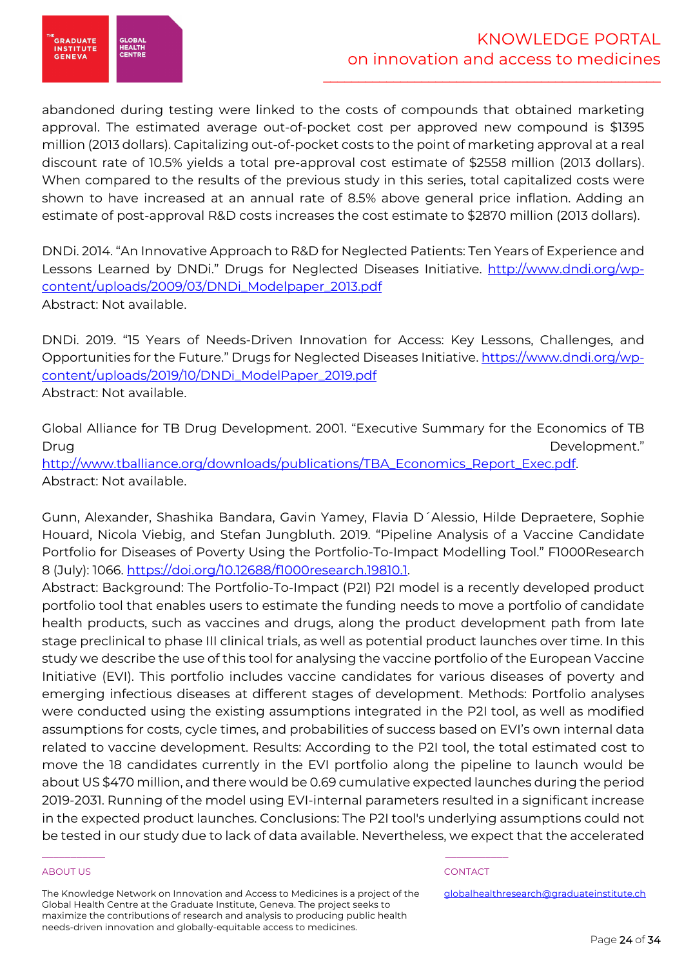

abandoned during testing were linked to the costs of compounds that obtained marketing approval. The estimated average out-of-pocket cost per approved new compound is \$1395 million (2013 dollars). Capitalizing out-of-pocket costs to the point of marketing approval at a real discount rate of 10.5% yields a total pre-approval cost estimate of \$2558 million (2013 dollars). When compared to the results of the previous study in this series, total capitalized costs were shown to have increased at an annual rate of 8.5% above general price inflation. Adding an estimate of post-approval R&D costs increases the cost estimate to \$2870 million (2013 dollars).

DNDi. 2014. "An Innovative Approach to R&D for Neglected Patients: Ten Years of Experience and Lessons Learned by DNDi." Drugs for Neglected Diseases Initiative. http://www.dndi.org/wpcontent/uploads/2009/03/DNDi\_Modelpaper\_2013.pdf Abstract: Not available.

DNDi. 2019. "15 Years of Needs-Driven Innovation for Access: Key Lessons, Challenges, and Opportunities for the Future." Drugs for Neglected Diseases Initiative. https://www.dndi.org/wpcontent/uploads/2019/10/DNDi\_ModelPaper\_2019.pdf Abstract: Not available.

Global Alliance for TB Drug Development. 2001. "Executive Summary for the Economics of TB Drug Development." http://www.tballiance.org/downloads/publications/TBA\_Economics\_Report\_Exec.pdf. Abstract: Not available.

Gunn, Alexander, Shashika Bandara, Gavin Yamey, Flavia D´Alessio, Hilde Depraetere, Sophie Houard, Nicola Viebig, and Stefan Jungbluth. 2019. "Pipeline Analysis of a Vaccine Candidate Portfolio for Diseases of Poverty Using the Portfolio-To-Impact Modelling Tool." F1000Research 8 (July): 1066. https://doi.org/10.12688/f1000research.19810.1.

Abstract: Background: The Portfolio-To-Impact (P2I) P2I model is a recently developed product portfolio tool that enables users to estimate the funding needs to move a portfolio of candidate health products, such as vaccines and drugs, along the product development path from late stage preclinical to phase III clinical trials, as well as potential product launches over time. In this study we describe the use of this tool for analysing the vaccine portfolio of the European Vaccine Initiative (EVI). This portfolio includes vaccine candidates for various diseases of poverty and emerging infectious diseases at different stages of development. Methods: Portfolio analyses were conducted using the existing assumptions integrated in the P2I tool, as well as modified assumptions for costs, cycle times, and probabilities of success based on EVI's own internal data related to vaccine development. Results: According to the P2I tool, the total estimated cost to move the 18 candidates currently in the EVI portfolio along the pipeline to launch would be about US \$470 million, and there would be 0.69 cumulative expected launches during the period 2019-2031. Running of the model using EVI-internal parameters resulted in a significant increase in the expected product launches. Conclusions: The P2I tool's underlying assumptions could not be tested in our study due to lack of data available. Nevertheless, we expect that the accelerated

# ABOUT US AND INTERNATIONAL CONTACT CONTACT AND INTERNATIONAL CONTACT.

The Knowledge Network on Innovation and Access to Medicines is a project of the Global Health Centre at the Graduate Institute, Geneva. The project seeks to maximize the contributions of research and analysis to producing public health needs-driven innovation and globally-equitable access to medicines.

\_\_\_\_\_\_\_\_\_\_\_ \_\_\_\_\_\_\_\_\_\_\_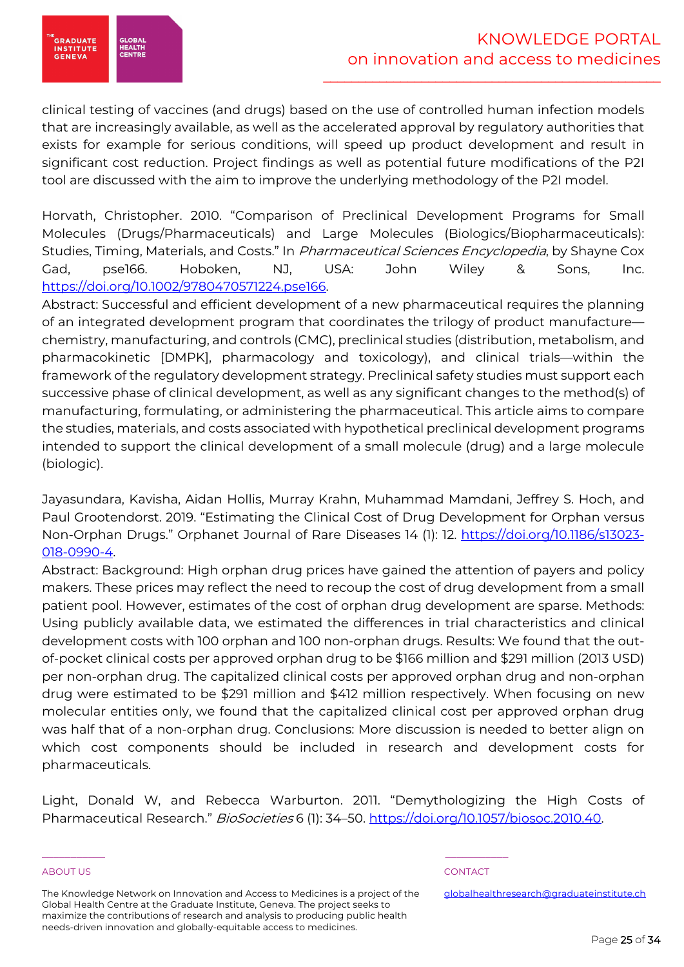

clinical testing of vaccines (and drugs) based on the use of controlled human infection models that are increasingly available, as well as the accelerated approval by regulatory authorities that exists for example for serious conditions, will speed up product development and result in significant cost reduction. Project findings as well as potential future modifications of the P2I tool are discussed with the aim to improve the underlying methodology of the P2I model.

Horvath, Christopher. 2010. "Comparison of Preclinical Development Programs for Small Molecules (Drugs/Pharmaceuticals) and Large Molecules (Biologics/Biopharmaceuticals): Studies, Timing, Materials, and Costs." In *Pharmaceutical Sciences Encyclopedia*, by Shayne Cox Gad, pse166. Hoboken, NJ, USA: John Wiley & Sons, Inc. https://doi.org/10.1002/9780470571224.pse166.

Abstract: Successful and efficient development of a new pharmaceutical requires the planning of an integrated development program that coordinates the trilogy of product manufacture chemistry, manufacturing, and controls (CMC), preclinical studies (distribution, metabolism, and pharmacokinetic [DMPK], pharmacology and toxicology), and clinical trials—within the framework of the regulatory development strategy. Preclinical safety studies must support each successive phase of clinical development, as well as any significant changes to the method(s) of manufacturing, formulating, or administering the pharmaceutical. This article aims to compare the studies, materials, and costs associated with hypothetical preclinical development programs intended to support the clinical development of a small molecule (drug) and a large molecule (biologic).

Jayasundara, Kavisha, Aidan Hollis, Murray Krahn, Muhammad Mamdani, Jeffrey S. Hoch, and Paul Grootendorst. 2019. "Estimating the Clinical Cost of Drug Development for Orphan versus Non-Orphan Drugs." Orphanet Journal of Rare Diseases 14 (1): 12. https://doi.org/10.1186/s13023- 018-0990-4.

Abstract: Background: High orphan drug prices have gained the attention of payers and policy makers. These prices may reflect the need to recoup the cost of drug development from a small patient pool. However, estimates of the cost of orphan drug development are sparse. Methods: Using publicly available data, we estimated the differences in trial characteristics and clinical development costs with 100 orphan and 100 non-orphan drugs. Results: We found that the outof-pocket clinical costs per approved orphan drug to be \$166 million and \$291 million (2013 USD) per non-orphan drug. The capitalized clinical costs per approved orphan drug and non-orphan drug were estimated to be \$291 million and \$412 million respectively. When focusing on new molecular entities only, we found that the capitalized clinical cost per approved orphan drug was half that of a non-orphan drug. Conclusions: More discussion is needed to better align on which cost components should be included in research and development costs for pharmaceuticals.

Light, Donald W, and Rebecca Warburton. 2011. "Demythologizing the High Costs of Pharmaceutical Research." BioSocieties 6 (1): 34-50. https://doi.org/10.1057/biosoc.2010.40.

# ABOUT US AND INTERNATIONAL CONTACT CONTACT AND INTERNATIONAL CONTACT.

The Knowledge Network on Innovation and Access to Medicines is a project of the Global Health Centre at the Graduate Institute, Geneva. The project seeks to maximize the contributions of research and analysis to producing public health needs-driven innovation and globally-equitable access to medicines.

\_\_\_\_\_\_\_\_\_\_\_ \_\_\_\_\_\_\_\_\_\_\_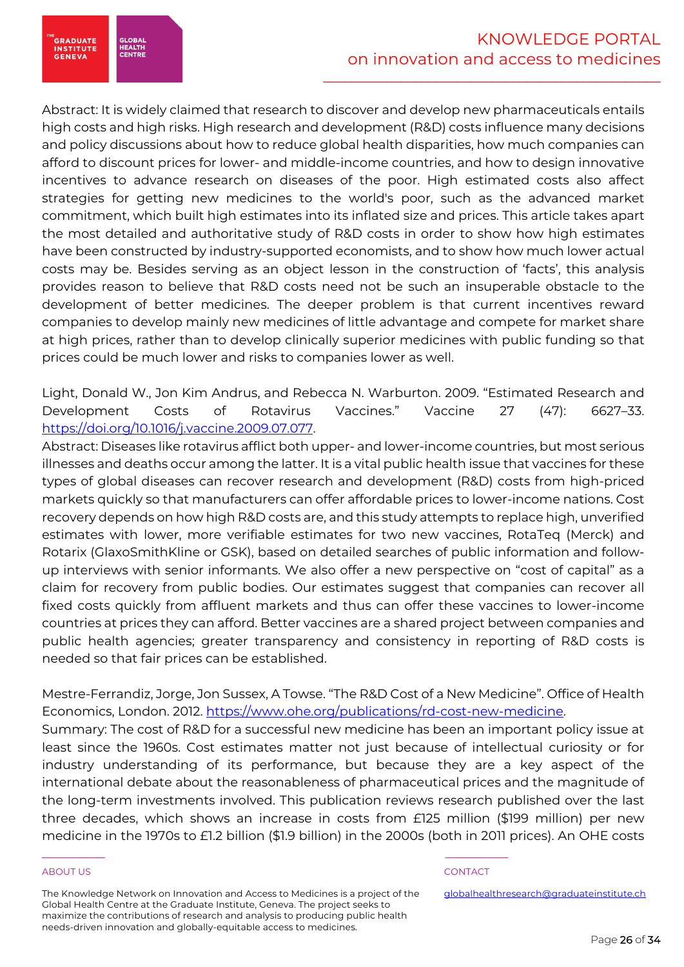**GRADUATE**<br>INSTITUTE GLOBAI<br>HEALTH<br>CENTRE GENEVA

Abstract: It is widely claimed that research to discover and develop new pharmaceuticals entails high costs and high risks. High research and development (R&D) costs influence many decisions and policy discussions about how to reduce global health disparities, how much companies can afford to discount prices for lower- and middle-income countries, and how to design innovative incentives to advance research on diseases of the poor. High estimated costs also affect strategies for getting new medicines to the world's poor, such as the advanced market commitment, which built high estimates into its inflated size and prices. This article takes apart the most detailed and authoritative study of R&D costs in order to show how high estimates have been constructed by industry-supported economists, and to show how much lower actual costs may be. Besides serving as an object lesson in the construction of 'facts', this analysis provides reason to believe that R&D costs need not be such an insuperable obstacle to the development of better medicines. The deeper problem is that current incentives reward companies to develop mainly new medicines of little advantage and compete for market share at high prices, rather than to develop clinically superior medicines with public funding so that prices could be much lower and risks to companies lower as well.

Light, Donald W., Jon Kim Andrus, and Rebecca N. Warburton. 2009. "Estimated Research and Development Costs of Rotavirus Vaccines." Vaccine 27 (47): 6627–33. https://doi.org/10.1016/j.vaccine.2009.07.077.

Abstract: Diseases like rotavirus afflict both upper- and lower-income countries, but most serious illnesses and deaths occur among the latter. It is a vital public health issue that vaccines for these types of global diseases can recover research and development (R&D) costs from high-priced markets quickly so that manufacturers can offer affordable prices to lower-income nations. Cost recovery depends on how high R&D costs are, and this study attempts to replace high, unverified estimates with lower, more verifiable estimates for two new vaccines, RotaTeq (Merck) and Rotarix (GlaxoSmithKline or GSK), based on detailed searches of public information and followup interviews with senior informants. We also offer a new perspective on "cost of capital" as a claim for recovery from public bodies. Our estimates suggest that companies can recover all fixed costs quickly from affluent markets and thus can offer these vaccines to lower-income countries at prices they can afford. Better vaccines are a shared project between companies and public health agencies; greater transparency and consistency in reporting of R&D costs is needed so that fair prices can be established.

Mestre-Ferrandiz, Jorge, Jon Sussex, A Towse. "The R&D Cost of a New Medicine". Office of Health Economics, London. 2012. https://www.ohe.org/publications/rd-cost-new-medicine. Summary: The cost of R&D for a successful new medicine has been an important policy issue at least since the 1960s. Cost estimates matter not just because of intellectual curiosity or for industry understanding of its performance, but because they are a key aspect of the international debate about the reasonableness of pharmaceutical prices and the magnitude of the long-term investments involved. This publication reviews research published over the last three decades, which shows an increase in costs from £125 million (\$199 million) per new medicine in the 1970s to £1.2 billion (\$1.9 billion) in the 2000s (both in 2011 prices). An OHE costs

# ABOUT US AND INTERNATIONAL CONTACT CONTACT AND INTERNATIONAL CONTACT.

The Knowledge Network on Innovation and Access to Medicines is a project of the Global Health Centre at the Graduate Institute, Geneva. The project seeks to maximize the contributions of research and analysis to producing public health needs-driven innovation and globally-equitable access to medicines.

\_\_\_\_\_\_\_\_\_\_\_ \_\_\_\_\_\_\_\_\_\_\_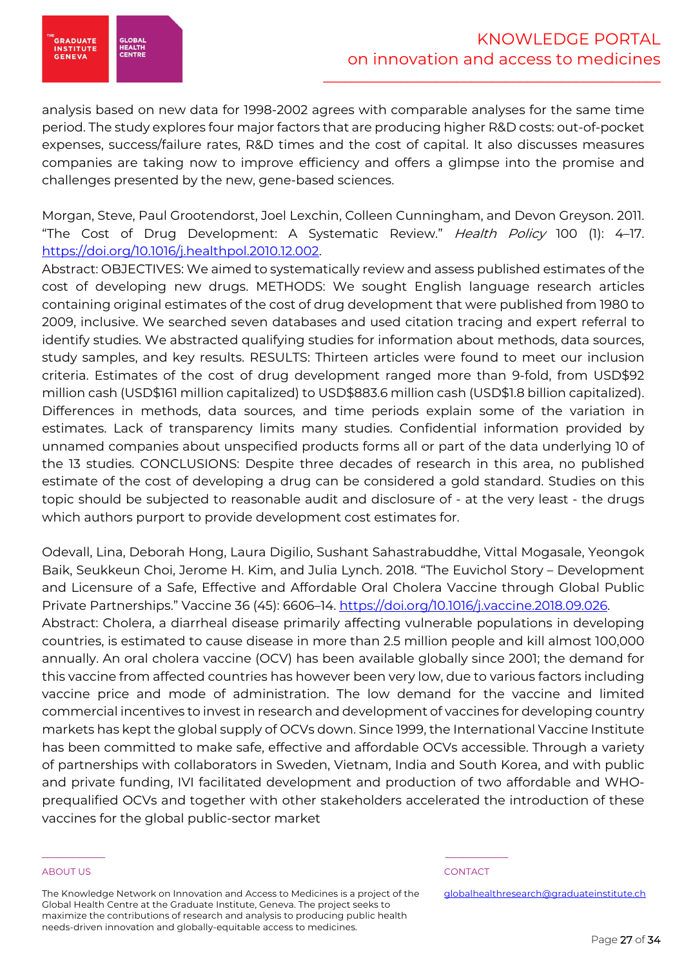

analysis based on new data for 1998-2002 agrees with comparable analyses for the same time period. The study explores four major factors that are producing higher R&D costs: out-of-pocket expenses, success/failure rates, R&D times and the cost of capital. It also discusses measures companies are taking now to improve efficiency and offers a glimpse into the promise and challenges presented by the new, gene-based sciences.

Morgan, Steve, Paul Grootendorst, Joel Lexchin, Colleen Cunningham, and Devon Greyson. 2011. "The Cost of Drug Development: A Systematic Review." Health Policy 100 (1): 4-17. https://doi.org/10.1016/j.healthpol.2010.12.002.

Abstract: OBJECTIVES: We aimed to systematically review and assess published estimates of the cost of developing new drugs. METHODS: We sought English language research articles containing original estimates of the cost of drug development that were published from 1980 to 2009, inclusive. We searched seven databases and used citation tracing and expert referral to identify studies. We abstracted qualifying studies for information about methods, data sources, study samples, and key results. RESULTS: Thirteen articles were found to meet our inclusion criteria. Estimates of the cost of drug development ranged more than 9-fold, from USD\$92 million cash (USD\$161 million capitalized) to USD\$883.6 million cash (USD\$1.8 billion capitalized). Differences in methods, data sources, and time periods explain some of the variation in estimates. Lack of transparency limits many studies. Confidential information provided by unnamed companies about unspecified products forms all or part of the data underlying 10 of the 13 studies. CONCLUSIONS: Despite three decades of research in this area, no published estimate of the cost of developing a drug can be considered a gold standard. Studies on this topic should be subjected to reasonable audit and disclosure of - at the very least - the drugs which authors purport to provide development cost estimates for.

Odevall, Lina, Deborah Hong, Laura Digilio, Sushant Sahastrabuddhe, Vittal Mogasale, Yeongok Baik, Seukkeun Choi, Jerome H. Kim, and Julia Lynch. 2018. "The Euvichol Story – Development and Licensure of a Safe, Effective and Affordable Oral Cholera Vaccine through Global Public Private Partnerships." Vaccine 36 (45): 6606–14. https://doi.org/10.1016/j.vaccine.2018.09.026. Abstract: Cholera, a diarrheal disease primarily affecting vulnerable populations in developing countries, is estimated to cause disease in more than 2.5 million people and kill almost 100,000 annually. An oral cholera vaccine (OCV) has been available globally since 2001; the demand for this vaccine from affected countries has however been very low, due to various factors including vaccine price and mode of administration. The low demand for the vaccine and limited commercial incentives to invest in research and development of vaccines for developing country markets has kept the global supply of OCVs down. Since 1999, the International Vaccine Institute has been committed to make safe, effective and affordable OCVs accessible. Through a variety of partnerships with collaborators in Sweden, Vietnam, India and South Korea, and with public and private funding, IVI facilitated development and production of two affordable and WHOprequalified OCVs and together with other stakeholders accelerated the introduction of these vaccines for the global public-sector market

### ABOUT US AND INTERNATIONAL CONTACT CONTACT AND INTERNATIONAL CONTACT.

The Knowledge Network on Innovation and Access to Medicines is a project of the Global Health Centre at the Graduate Institute, Geneva. The project seeks to maximize the contributions of research and analysis to producing public health needs-driven innovation and globally-equitable access to medicines.

\_\_\_\_\_\_\_\_\_\_\_ \_\_\_\_\_\_\_\_\_\_\_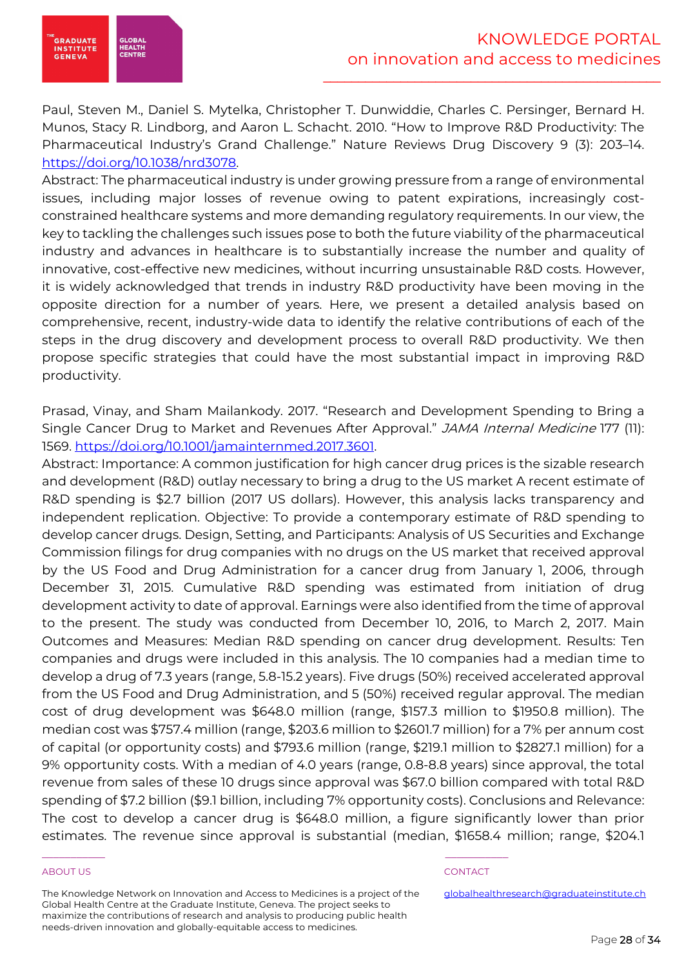

Paul, Steven M., Daniel S. Mytelka, Christopher T. Dunwiddie, Charles C. Persinger, Bernard H. Munos, Stacy R. Lindborg, and Aaron L. Schacht. 2010. "How to Improve R&D Productivity: The Pharmaceutical Industry's Grand Challenge." Nature Reviews Drug Discovery 9 (3): 203–14. https://doi.org/10.1038/nrd3078.

Abstract: The pharmaceutical industry is under growing pressure from a range of environmental issues, including major losses of revenue owing to patent expirations, increasingly costconstrained healthcare systems and more demanding regulatory requirements. In our view, the key to tackling the challenges such issues pose to both the future viability of the pharmaceutical industry and advances in healthcare is to substantially increase the number and quality of innovative, cost-effective new medicines, without incurring unsustainable R&D costs. However, it is widely acknowledged that trends in industry R&D productivity have been moving in the opposite direction for a number of years. Here, we present a detailed analysis based on comprehensive, recent, industry-wide data to identify the relative contributions of each of the steps in the drug discovery and development process to overall R&D productivity. We then propose specific strategies that could have the most substantial impact in improving R&D productivity.

Prasad, Vinay, and Sham Mailankody. 2017. "Research and Development Spending to Bring a Single Cancer Drug to Market and Revenues After Approval." JAMA Internal Medicine 177 (11): 1569. https://doi.org/10.1001/jamainternmed.2017.3601.

Abstract: Importance: A common justification for high cancer drug prices is the sizable research and development (R&D) outlay necessary to bring a drug to the US market A recent estimate of R&D spending is \$2.7 billion (2017 US dollars). However, this analysis lacks transparency and independent replication. Objective: To provide a contemporary estimate of R&D spending to develop cancer drugs. Design, Setting, and Participants: Analysis of US Securities and Exchange Commission filings for drug companies with no drugs on the US market that received approval by the US Food and Drug Administration for a cancer drug from January 1, 2006, through December 31, 2015. Cumulative R&D spending was estimated from initiation of drug development activity to date of approval. Earnings were also identified from the time of approval to the present. The study was conducted from December 10, 2016, to March 2, 2017. Main Outcomes and Measures: Median R&D spending on cancer drug development. Results: Ten companies and drugs were included in this analysis. The 10 companies had a median time to develop a drug of 7.3 years (range, 5.8-15.2 years). Five drugs (50%) received accelerated approval from the US Food and Drug Administration, and 5 (50%) received regular approval. The median cost of drug development was \$648.0 million (range, \$157.3 million to \$1950.8 million). The median cost was \$757.4 million (range, \$203.6 million to \$2601.7 million) for a 7% per annum cost of capital (or opportunity costs) and \$793.6 million (range, \$219.1 million to \$2827.1 million) for a 9% opportunity costs. With a median of 4.0 years (range, 0.8-8.8 years) since approval, the total revenue from sales of these 10 drugs since approval was \$67.0 billion compared with total R&D spending of \$7.2 billion (\$9.1 billion, including 7% opportunity costs). Conclusions and Relevance: The cost to develop a cancer drug is \$648.0 million, a figure significantly lower than prior estimates. The revenue since approval is substantial (median, \$1658.4 million; range, \$204.1

### ABOUT US AND INTERNATIONAL CONTACT CONTACT AND INTERNATIONAL CONTACT.

GLOBAI<br>HEALTH<br>CENTRE

**GRADUATE**<br>INSTITUTE GENEVA

The Knowledge Network on Innovation and Access to Medicines is a project of the Global Health Centre at the Graduate Institute, Geneva. The project seeks to maximize the contributions of research and analysis to producing public health needs-driven innovation and globally-equitable access to medicines.

\_\_\_\_\_\_\_\_\_\_\_ \_\_\_\_\_\_\_\_\_\_\_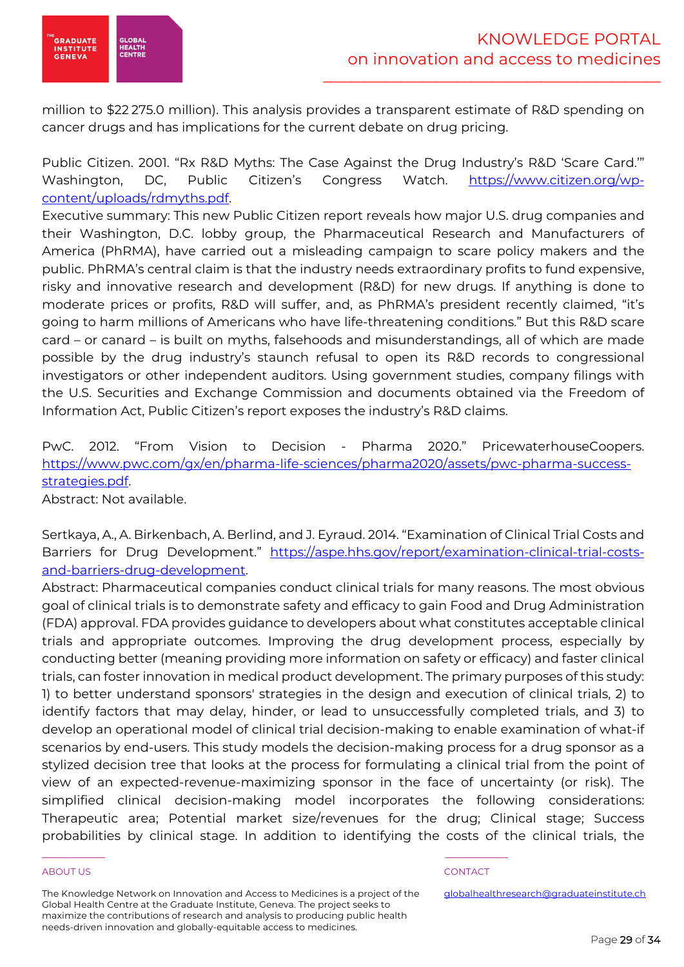

million to \$22 275.0 million). This analysis provides a transparent estimate of R&D spending on cancer drugs and has implications for the current debate on drug pricing.

Public Citizen. 2001. "Rx R&D Myths: The Case Against the Drug Industry's R&D 'Scare Card.'" Washington, DC, Public Citizen's Congress Watch. https://www.citizen.org/wpcontent/uploads/rdmyths.pdf.

Executive summary: This new Public Citizen report reveals how major U.S. drug companies and their Washington, D.C. lobby group, the Pharmaceutical Research and Manufacturers of America (PhRMA), have carried out a misleading campaign to scare policy makers and the public. PhRMA's central claim is that the industry needs extraordinary profits to fund expensive, risky and innovative research and development (R&D) for new drugs. If anything is done to moderate prices or profits, R&D will suffer, and, as PhRMA's president recently claimed, "it's going to harm millions of Americans who have life-threatening conditions." But this R&D scare card – or canard – is built on myths, falsehoods and misunderstandings, all of which are made possible by the drug industry's staunch refusal to open its R&D records to congressional investigators or other independent auditors. Using government studies, company filings with the U.S. Securities and Exchange Commission and documents obtained via the Freedom of Information Act, Public Citizen's report exposes the industry's R&D claims.

PwC. 2012. "From Vision to Decision - Pharma 2020." PricewaterhouseCoopers. https://www.pwc.com/gx/en/pharma-life-sciences/pharma2020/assets/pwc-pharma-successstrategies.pdf.

Abstract: Not available.

Sertkaya, A., A. Birkenbach, A. Berlind, and J. Eyraud. 2014. "Examination of Clinical Trial Costs and Barriers for Drug Development." https://aspe.hhs.gov/report/examination-clinical-trial-costsand-barriers-drug-development.

Abstract: Pharmaceutical companies conduct clinical trials for many reasons. The most obvious goal of clinical trials is to demonstrate safety and efficacy to gain Food and Drug Administration (FDA) approval. FDA provides guidance to developers about what constitutes acceptable clinical trials and appropriate outcomes. Improving the drug development process, especially by conducting better (meaning providing more information on safety or efficacy) and faster clinical trials, can foster innovation in medical product development. The primary purposes of this study: 1) to better understand sponsors' strategies in the design and execution of clinical trials, 2) to identify factors that may delay, hinder, or lead to unsuccessfully completed trials, and 3) to develop an operational model of clinical trial decision-making to enable examination of what-if scenarios by end-users. This study models the decision-making process for a drug sponsor as a stylized decision tree that looks at the process for formulating a clinical trial from the point of view of an expected-revenue-maximizing sponsor in the face of uncertainty (or risk). The simplified clinical decision-making model incorporates the following considerations: Therapeutic area; Potential market size/revenues for the drug; Clinical stage; Success probabilities by clinical stage. In addition to identifying the costs of the clinical trials, the

# ABOUT US AND INTERNATIONAL CONTACT CONTACT AND INTERNATIONAL CONTACT.

The Knowledge Network on Innovation and Access to Medicines is a project of the Global Health Centre at the Graduate Institute, Geneva. The project seeks to maximize the contributions of research and analysis to producing public health needs-driven innovation and globally-equitable access to medicines.

\_\_\_\_\_\_\_\_\_\_\_ \_\_\_\_\_\_\_\_\_\_\_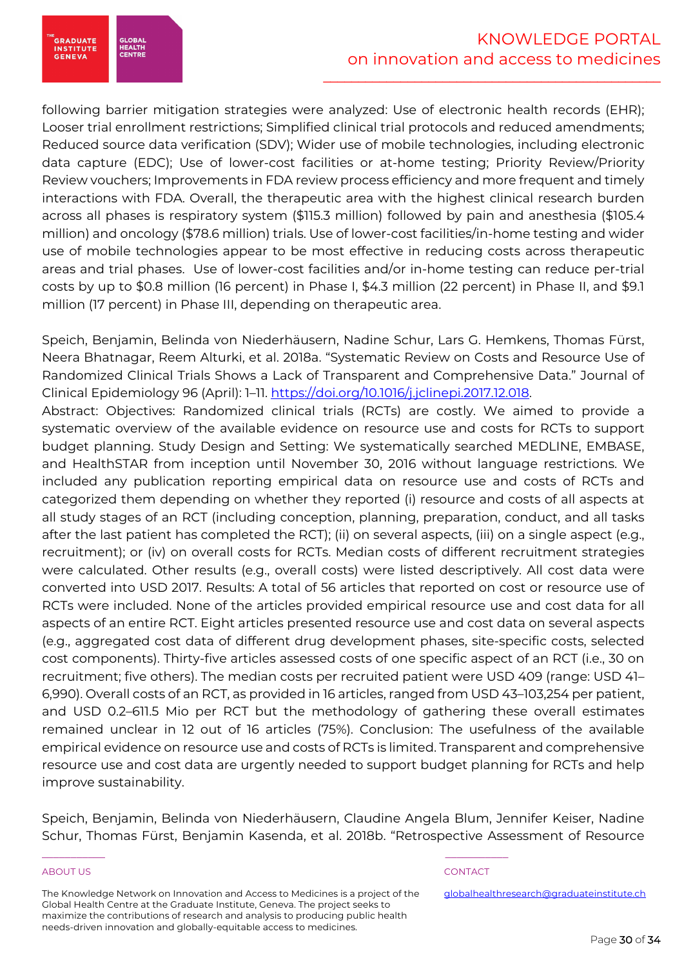**GRADUATE**<br>INSTITUTE GLOBAI<br>HEALTH<br>CENTRE **GENEVA** 

following barrier mitigation strategies were analyzed: Use of electronic health records (EHR); Looser trial enrollment restrictions; Simplified clinical trial protocols and reduced amendments; Reduced source data verification (SDV); Wider use of mobile technologies, including electronic data capture (EDC); Use of lower-cost facilities or at-home testing; Priority Review/Priority Review vouchers; Improvements in FDA review process efficiency and more frequent and timely interactions with FDA. Overall, the therapeutic area with the highest clinical research burden across all phases is respiratory system (\$115.3 million) followed by pain and anesthesia (\$105.4 million) and oncology (\$78.6 million) trials. Use of lower-cost facilities/in-home testing and wider use of mobile technologies appear to be most effective in reducing costs across therapeutic areas and trial phases. Use of lower-cost facilities and/or in-home testing can reduce per-trial costs by up to \$0.8 million (16 percent) in Phase I, \$4.3 million (22 percent) in Phase II, and \$9.1 million (17 percent) in Phase III, depending on therapeutic area.

Speich, Benjamin, Belinda von Niederhäusern, Nadine Schur, Lars G. Hemkens, Thomas Fürst, Neera Bhatnagar, Reem Alturki, et al. 2018a. "Systematic Review on Costs and Resource Use of Randomized Clinical Trials Shows a Lack of Transparent and Comprehensive Data." Journal of Clinical Epidemiology 96 (April): 1–11. https://doi.org/10.1016/j.jclinepi.2017.12.018.

Abstract: Objectives: Randomized clinical trials (RCTs) are costly. We aimed to provide a systematic overview of the available evidence on resource use and costs for RCTs to support budget planning. Study Design and Setting: We systematically searched MEDLINE, EMBASE, and HealthSTAR from inception until November 30, 2016 without language restrictions. We included any publication reporting empirical data on resource use and costs of RCTs and categorized them depending on whether they reported (i) resource and costs of all aspects at all study stages of an RCT (including conception, planning, preparation, conduct, and all tasks after the last patient has completed the RCT); (ii) on several aspects, (iii) on a single aspect (e.g., recruitment); or (iv) on overall costs for RCTs. Median costs of different recruitment strategies were calculated. Other results (e.g., overall costs) were listed descriptively. All cost data were converted into USD 2017. Results: A total of 56 articles that reported on cost or resource use of RCTs were included. None of the articles provided empirical resource use and cost data for all aspects of an entire RCT. Eight articles presented resource use and cost data on several aspects (e.g., aggregated cost data of different drug development phases, site-specific costs, selected cost components). Thirty-five articles assessed costs of one specific aspect of an RCT (i.e., 30 on recruitment; five others). The median costs per recruited patient were USD 409 (range: USD 41– 6,990). Overall costs of an RCT, as provided in 16 articles, ranged from USD 43–103,254 per patient, and USD 0.2–611.5 Mio per RCT but the methodology of gathering these overall estimates remained unclear in 12 out of 16 articles (75%). Conclusion: The usefulness of the available empirical evidence on resource use and costs of RCTs is limited. Transparent and comprehensive resource use and cost data are urgently needed to support budget planning for RCTs and help improve sustainability.

Speich, Benjamin, Belinda von Niederhäusern, Claudine Angela Blum, Jennifer Keiser, Nadine Schur, Thomas Fürst, Benjamin Kasenda, et al. 2018b. "Retrospective Assessment of Resource

# ABOUT US AND INTERNATIONAL CONTACT CONTACT AND INTERNATIONAL CONTACT.

The Knowledge Network on Innovation and Access to Medicines is a project of the Global Health Centre at the Graduate Institute, Geneva. The project seeks to maximize the contributions of research and analysis to producing public health needs-driven innovation and globally-equitable access to medicines.

\_\_\_\_\_\_\_\_\_\_\_ \_\_\_\_\_\_\_\_\_\_\_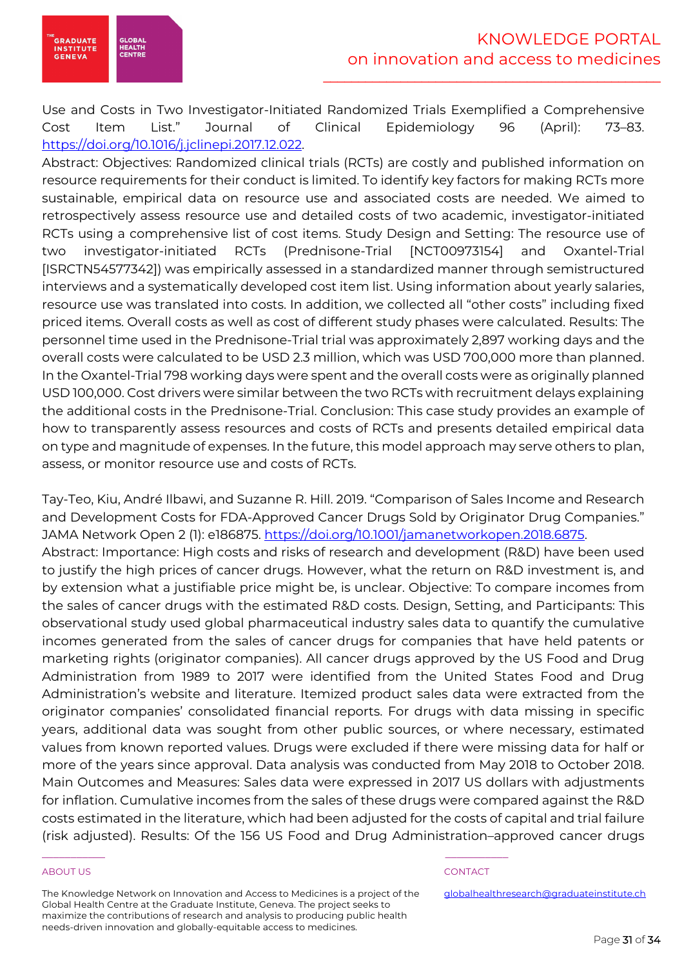

Use and Costs in Two Investigator-Initiated Randomized Trials Exemplified a Comprehensive Cost Item List." Journal of Clinical Epidemiology 96 (April): 73–83. https://doi.org/10.1016/j.jclinepi.2017.12.022.

Abstract: Objectives: Randomized clinical trials (RCTs) are costly and published information on resource requirements for their conduct is limited. To identify key factors for making RCTs more sustainable, empirical data on resource use and associated costs are needed. We aimed to retrospectively assess resource use and detailed costs of two academic, investigator-initiated RCTs using a comprehensive list of cost items. Study Design and Setting: The resource use of two investigator-initiated RCTs (Prednisone-Trial [NCT00973154] and Oxantel-Trial [ISRCTN54577342]) was empirically assessed in a standardized manner through semistructured interviews and a systematically developed cost item list. Using information about yearly salaries, resource use was translated into costs. In addition, we collected all "other costs" including fixed priced items. Overall costs as well as cost of different study phases were calculated. Results: The personnel time used in the Prednisone-Trial trial was approximately 2,897 working days and the overall costs were calculated to be USD 2.3 million, which was USD 700,000 more than planned. In the Oxantel-Trial 798 working days were spent and the overall costs were as originally planned USD 100,000. Cost drivers were similar between the two RCTs with recruitment delays explaining the additional costs in the Prednisone-Trial. Conclusion: This case study provides an example of how to transparently assess resources and costs of RCTs and presents detailed empirical data on type and magnitude of expenses. In the future, this model approach may serve others to plan, assess, or monitor resource use and costs of RCTs.

Tay-Teo, Kiu, André Ilbawi, and Suzanne R. Hill. 2019. "Comparison of Sales Income and Research and Development Costs for FDA-Approved Cancer Drugs Sold by Originator Drug Companies." JAMA Network Open 2 (1): e186875. https://doi.org/10.1001/jamanetworkopen.2018.6875. Abstract: Importance: High costs and risks of research and development (R&D) have been used to justify the high prices of cancer drugs. However, what the return on R&D investment is, and by extension what a justifiable price might be, is unclear. Objective: To compare incomes from the sales of cancer drugs with the estimated R&D costs. Design, Setting, and Participants: This observational study used global pharmaceutical industry sales data to quantify the cumulative incomes generated from the sales of cancer drugs for companies that have held patents or marketing rights (originator companies). All cancer drugs approved by the US Food and Drug Administration from 1989 to 2017 were identified from the United States Food and Drug Administration's website and literature. Itemized product sales data were extracted from the originator companies' consolidated financial reports. For drugs with data missing in specific years, additional data was sought from other public sources, or where necessary, estimated values from known reported values. Drugs were excluded if there were missing data for half or more of the years since approval. Data analysis was conducted from May 2018 to October 2018. Main Outcomes and Measures: Sales data were expressed in 2017 US dollars with adjustments for inflation. Cumulative incomes from the sales of these drugs were compared against the R&D costs estimated in the literature, which had been adjusted for the costs of capital and trial failure (risk adjusted). Results: Of the 156 US Food and Drug Administration–approved cancer drugs

# ABOUT US AND INTERNATIONAL CONTACT CONTACT AND INTERNATIONAL CONTACT.

The Knowledge Network on Innovation and Access to Medicines is a project of the Global Health Centre at the Graduate Institute, Geneva. The project seeks to maximize the contributions of research and analysis to producing public health needs-driven innovation and globally-equitable access to medicines.

\_\_\_\_\_\_\_\_\_\_\_ \_\_\_\_\_\_\_\_\_\_\_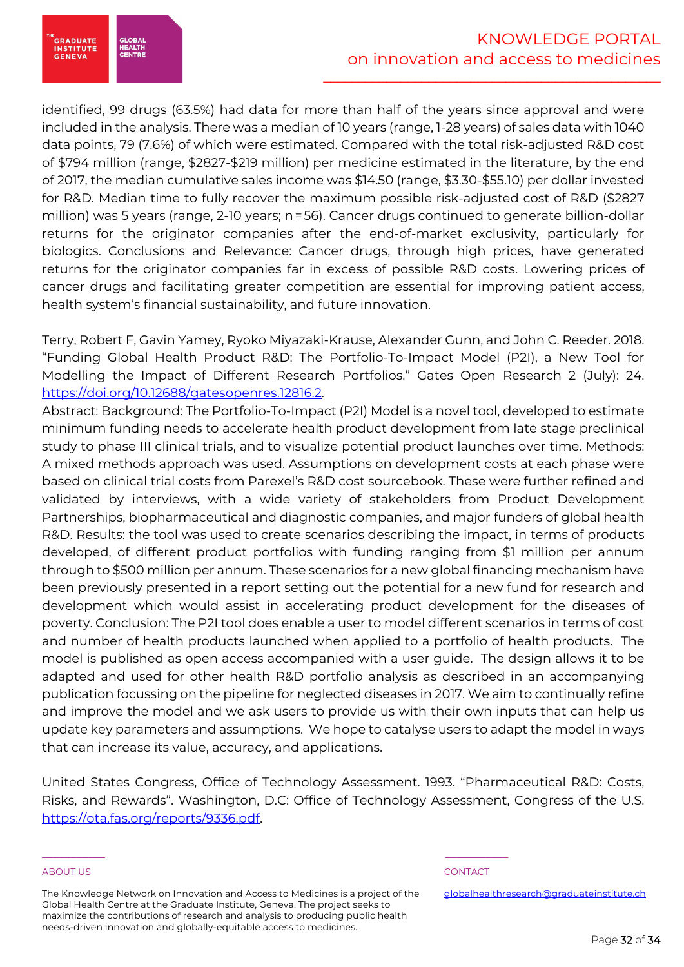**GRADUATE**<br>INSTITUTE **GLOBA HEALTH**<br>CENTRI **GENEVA** 

identified, 99 drugs (63.5%) had data for more than half of the years since approval and were included in the analysis. There was a median of 10 years (range, 1-28 years) of sales data with 1040 data points, 79 (7.6%) of which were estimated. Compared with the total risk-adjusted R&D cost of \$794 million (range, \$2827-\$219 million) per medicine estimated in the literature, by the end of 2017, the median cumulative sales income was \$14.50 (range, \$3.30-\$55.10) per dollar invested for R&D. Median time to fully recover the maximum possible risk-adjusted cost of R&D (\$2827 million) was 5 years (range, 2-10 years; n=56). Cancer drugs continued to generate billion-dollar returns for the originator companies after the end-of-market exclusivity, particularly for biologics. Conclusions and Relevance: Cancer drugs, through high prices, have generated returns for the originator companies far in excess of possible R&D costs. Lowering prices of cancer drugs and facilitating greater competition are essential for improving patient access, health system's financial sustainability, and future innovation.

Terry, Robert F, Gavin Yamey, Ryoko Miyazaki-Krause, Alexander Gunn, and John C. Reeder. 2018. "Funding Global Health Product R&D: The Portfolio-To-Impact Model (P2I), a New Tool for Modelling the Impact of Different Research Portfolios." Gates Open Research 2 (July): 24. https://doi.org/10.12688/gatesopenres.12816.2.

Abstract: Background: The Portfolio-To-Impact (P2I) Model is a novel tool, developed to estimate minimum funding needs to accelerate health product development from late stage preclinical study to phase III clinical trials, and to visualize potential product launches over time. Methods: A mixed methods approach was used. Assumptions on development costs at each phase were based on clinical trial costs from Parexel's R&D cost sourcebook. These were further refined and validated by interviews, with a wide variety of stakeholders from Product Development Partnerships, biopharmaceutical and diagnostic companies, and major funders of global health R&D. Results: the tool was used to create scenarios describing the impact, in terms of products developed, of different product portfolios with funding ranging from \$1 million per annum through to \$500 million per annum. These scenarios for a new global financing mechanism have been previously presented in a report setting out the potential for a new fund for research and development which would assist in accelerating product development for the diseases of poverty. Conclusion: The P2I tool does enable a user to model different scenarios in terms of cost and number of health products launched when applied to a portfolio of health products. The model is published as open access accompanied with a user guide. The design allows it to be adapted and used for other health R&D portfolio analysis as described in an accompanying publication focussing on the pipeline for neglected diseases in 2017. We aim to continually refine and improve the model and we ask users to provide us with their own inputs that can help us update key parameters and assumptions. We hope to catalyse users to adapt the model in ways that can increase its value, accuracy, and applications.

United States Congress, Office of Technology Assessment. 1993. "Pharmaceutical R&D: Costs, Risks, and Rewards". Washington, D.C: Office of Technology Assessment, Congress of the U.S. https://ota.fas.org/reports/9336.pdf.

# ABOUT US AND INTERNATIONAL CONTACT CONTACT AND INTERNATIONAL CONTACT.

The Knowledge Network on Innovation and Access to Medicines is a project of the Global Health Centre at the Graduate Institute, Geneva. The project seeks to maximize the contributions of research and analysis to producing public health needs-driven innovation and globally-equitable access to medicines.

\_\_\_\_\_\_\_\_\_\_\_ \_\_\_\_\_\_\_\_\_\_\_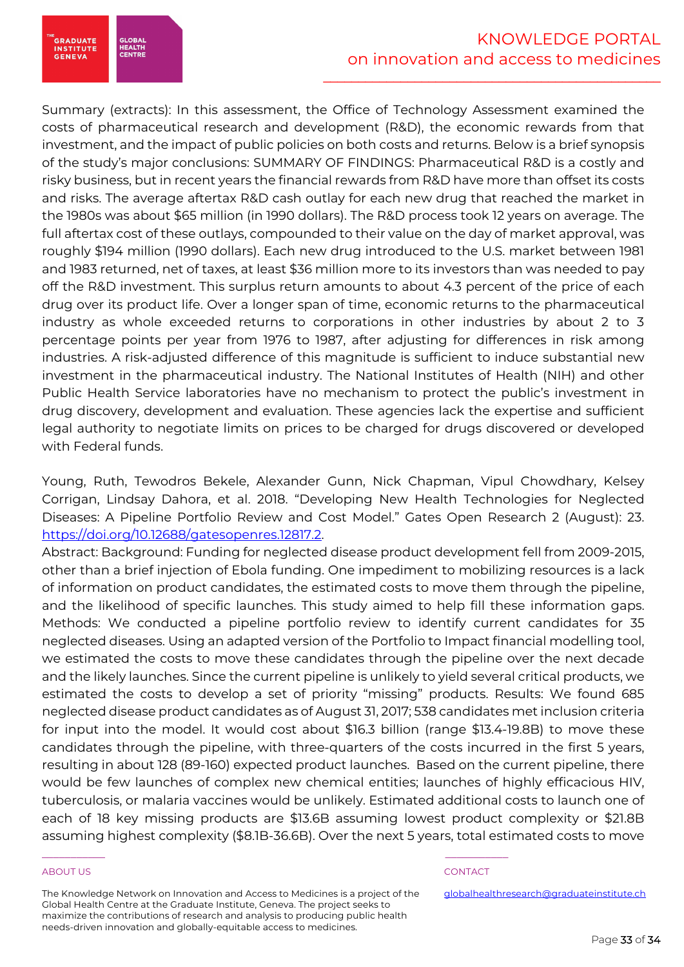

Summary (extracts): In this assessment, the Office of Technology Assessment examined the costs of pharmaceutical research and development (R&D), the economic rewards from that investment, and the impact of public policies on both costs and returns. Below is a brief synopsis of the study's major conclusions: SUMMARY OF FINDINGS: Pharmaceutical R&D is a costly and risky business, but in recent years the financial rewards from R&D have more than offset its costs and risks. The average aftertax R&D cash outlay for each new drug that reached the market in the 1980s was about \$65 million (in 1990 dollars). The R&D process took 12 years on average. The full aftertax cost of these outlays, compounded to their value on the day of market approval, was roughly \$194 million (1990 dollars). Each new drug introduced to the U.S. market between 1981 and 1983 returned, net of taxes, at least \$36 million more to its investors than was needed to pay off the R&D investment. This surplus return amounts to about 4.3 percent of the price of each drug over its product life. Over a longer span of time, economic returns to the pharmaceutical industry as whole exceeded returns to corporations in other industries by about 2 to 3 percentage points per year from 1976 to 1987, after adjusting for differences in risk among industries. A risk-adjusted difference of this magnitude is sufficient to induce substantial new investment in the pharmaceutical industry. The National Institutes of Health (NIH) and other Public Health Service laboratories have no mechanism to protect the public's investment in drug discovery, development and evaluation. These agencies lack the expertise and sufficient legal authority to negotiate limits on prices to be charged for drugs discovered or developed with Federal funds.

Young, Ruth, Tewodros Bekele, Alexander Gunn, Nick Chapman, Vipul Chowdhary, Kelsey Corrigan, Lindsay Dahora, et al. 2018. "Developing New Health Technologies for Neglected Diseases: A Pipeline Portfolio Review and Cost Model." Gates Open Research 2 (August): 23. https://doi.org/10.12688/gatesopenres.12817.2.

Abstract: Background: Funding for neglected disease product development fell from 2009-2015, other than a brief injection of Ebola funding. One impediment to mobilizing resources is a lack of information on product candidates, the estimated costs to move them through the pipeline, and the likelihood of specific launches. This study aimed to help fill these information gaps. Methods: We conducted a pipeline portfolio review to identify current candidates for 35 neglected diseases. Using an adapted version of the Portfolio to Impact financial modelling tool, we estimated the costs to move these candidates through the pipeline over the next decade and the likely launches. Since the current pipeline is unlikely to yield several critical products, we estimated the costs to develop a set of priority "missing" products. Results: We found 685 neglected disease product candidates as of August 31, 2017; 538 candidates met inclusion criteria for input into the model. It would cost about \$16.3 billion (range \$13.4-19.8B) to move these candidates through the pipeline, with three-quarters of the costs incurred in the first 5 years, resulting in about 128 (89-160) expected product launches. Based on the current pipeline, there would be few launches of complex new chemical entities; launches of highly efficacious HIV, tuberculosis, or malaria vaccines would be unlikely. Estimated additional costs to launch one of each of 18 key missing products are \$13.6B assuming lowest product complexity or \$21.8B assuming highest complexity (\$8.1B-36.6B). Over the next 5 years, total estimated costs to move

# ABOUT US AND INTERNATIONAL CONTACT CONTACT AND INTERNATIONAL CONTACT.

The Knowledge Network on Innovation and Access to Medicines is a project of the Global Health Centre at the Graduate Institute, Geneva. The project seeks to maximize the contributions of research and analysis to producing public health needs-driven innovation and globally-equitable access to medicines.

\_\_\_\_\_\_\_\_\_\_\_ \_\_\_\_\_\_\_\_\_\_\_